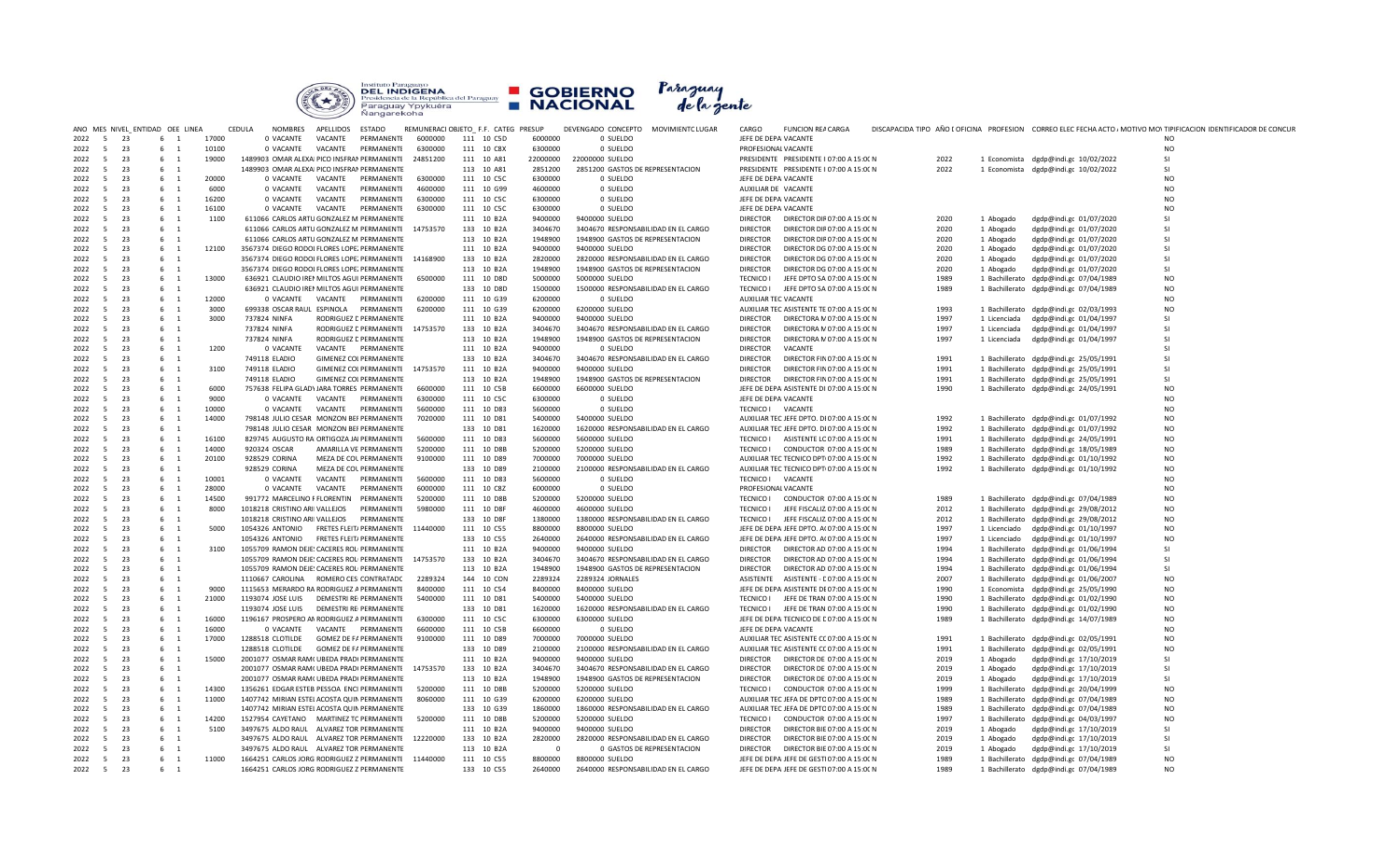

|              |                                  | ANO MES NIVEL ENTIDAD OEE LINEA |            |       | CEDULA<br><b>NOMBRES</b>                    | APELLIDOS | ESTADO                                           |                    | REMUNERACI OBJETO F.F. CATEG PRESUP |                    | DEVENGADO CONCEPTO MOVIMIENTC LUGAR                   | CARGO            | <b>FUNCION REA CARGA</b>                                                             |              |              |                                        | DISCAPACIDA TIPO AÑO E OFICINA PROFESION CORREO ELEC FECHA ACTO / MOTIVO MO\ TIPIFICACION IDENTIFICADOR DE CONCUR |
|--------------|----------------------------------|---------------------------------|------------|-------|---------------------------------------------|-----------|--------------------------------------------------|--------------------|-------------------------------------|--------------------|-------------------------------------------------------|------------------|--------------------------------------------------------------------------------------|--------------|--------------|----------------------------------------|-------------------------------------------------------------------------------------------------------------------|
| 2022         | 23<br>5 <sup>5</sup>             |                                 | 6 1        | 17000 | 0 VACANTE                                   | VACANTE   | PERMANENTE                                       | 6000000            | 111 10 C5D                          | 6000000            | 0 SUELDO                                              |                  | JEFE DE DEPA VACANTE                                                                 |              |              |                                        | NO.                                                                                                               |
| 2022         | $5^{\circ}$<br>23                |                                 | 6 1        | 10100 | 0 VACANTE                                   | VACANTE   | PERMANENTE                                       | 6300000            | 111 10 C8X                          | 6300000            | 0 SUELDO                                              |                  | PROFESIONAL VACANTE                                                                  |              |              |                                        | <b>NO</b>                                                                                                         |
| 2022         | $5^{\circ}$<br>23                |                                 | 6 1        | 19000 | 1489903 OMAR ALEXAI PICO INSFRAM PERMANENTE |           |                                                  | 24851200           | 111 10 A81                          | 22000000           | 22000000 SUELDO                                       |                  | PRESIDENTE PRESIDENTE I 07:00 A 15:00 N                                              | 2022         |              | 1 Economista dgdp@indi.gc 10/02/2022   | <b>SI</b>                                                                                                         |
| 2022         | $5^{\circ}$<br>23                |                                 | 6 1        |       | 1489903 OMAR ALEXAI PICO INSFRAM PERMANENTE |           |                                                  |                    | 113 10 A81                          | 2851200            | 2851200 GASTOS DE REPRESENTACION                      |                  | PRESIDENTE PRESIDENTE I 07:00 A 15:00 N                                              | 2022         |              | 1 Economista dgdp@indi.gc 10/02/2022   | <b>SI</b>                                                                                                         |
| 2022         | 5<br>23                          |                                 | 6 1        | 20000 | 0 VACANTE                                   | VACANTE   | PERMANENTE                                       | 6300000            | 111 10 C5C                          | 6300000            | 0 SUELDO                                              |                  | JEFE DE DEPA VACANTE                                                                 |              |              |                                        | <b>NO</b>                                                                                                         |
| 2022         | 23<br>5                          |                                 | 6 1        | 6000  | 0 VACANTE                                   | VACANTE   | PERMANENTE                                       | 4600000            | 111 10 G99                          | 4600000            | 0 SUELDO                                              |                  | AUXILIAR DE VACANTE                                                                  |              |              |                                        | <b>NO</b>                                                                                                         |
| 2022         | 23<br>$5^{\circ}$                |                                 | 6 1        | 16200 | 0 VACANTE                                   | VACANTE   | PERMANENTE                                       | 6300000            | 111 10 C5C                          | 6300000            | 0 SUELDO                                              |                  | JEFE DE DEPA VACANTE                                                                 |              |              |                                        | N <sub>O</sub>                                                                                                    |
| 2022         | 5<br>23                          |                                 | 6 1        | 16100 | 0 VACANTE                                   | VACANTE   | PERMANENTE                                       | 6300000            | 111 10 C5C                          | 6300000            | 0 SUELDO                                              |                  | JEFE DE DEPA VACANTE                                                                 |              |              |                                        | N <sub>O</sub>                                                                                                    |
| 2022         | 23<br>- 5                        |                                 | 6 1        | 1100  | 611066 CARLOS ARTU GONZALEZ M PERMANENTE    |           |                                                  |                    | 111 10 B2A                          | 9400000            | 9400000 SUELDO                                        | <b>DIRECTOR</b>  | DIRECTOR DIF 07:00 A 15:00 N                                                         | 2020         | 1 Abogado    | dgdp@indi.gc 01/07/2020                | <b>SI</b>                                                                                                         |
| 2022         | $5^{\circ}$<br>23                |                                 | 6 1        |       | 611066 CARLOS ARTU GONZALEZ M PERMANENTE    |           |                                                  | 14753570           | 133 10 B2A                          | 3404670            | 3404670 RESPONSABILIDAD EN EL CARGO                   | <b>DIRECTOR</b>  | DIRECTOR DIF 07:00 A 15:00 N                                                         | 2020         | 1 Abogado    | dgdp@indi.gc 01/07/2020                | <b>SI</b>                                                                                                         |
| 2022         | $\overline{5}$<br>23             |                                 | 6 1        |       | 611066 CARLOS ARTU GONZALEZ M PERMANENTE    |           |                                                  |                    | 113 10 B2A                          | 1948900            | 1948900 GASTOS DE REPRESENTACION                      | <b>DIRECTOR</b>  | DIRECTOR DIF 07:00 A 15:00 N                                                         | 2020         | 1 Abogado    | dgdp@indi.gc 01/07/2020                | <b>SI</b>                                                                                                         |
| 2022         | 23<br>5                          |                                 | 6 1        | 12100 | 3567374 DIEGO RODOI FLORES LOPE. PERMANENTE |           |                                                  |                    | 111 10 B2A                          | 9400000            | 9400000 SUELDO                                        | <b>DIRECTOR</b>  | DIRECTOR DG 07:00 A 15:00 N                                                          | 2020         | 1 Abogado    | dgdp@indi.gc 01/07/2020                | <b>SI</b>                                                                                                         |
| 2022         | 5<br>23                          |                                 | 6 1        |       | 3567374 DIEGO RODOI FLORES LOPE. PERMANENTE |           |                                                  | 14168900           | 133 10 B2A                          | 2820000            | 2820000 RESPONSABILIDAD EN EL CARGO                   | <b>DIRECTOR</b>  | DIRECTOR DG 07:00 A 15:00 N                                                          | 2020         | 1 Abogado    | dgdp@indi.gc 01/07/2020                | <b>SI</b>                                                                                                         |
| 2022         | 23<br>5                          |                                 | 6 1        |       | 3567374 DIEGO RODOI FLORES LOPE. PERMANENTE |           |                                                  |                    | 113 10 B2A                          | 1948900            | 1948900 GASTOS DE REPRESENTACION                      | <b>DIRECTOR</b>  | DIRECTOR DG 07:00 A 15:00 N                                                          | 2020         | 1 Abogado    | dgdp@indi.gc 01/07/2020                | SI                                                                                                                |
| 2022         | - 5<br>23                        |                                 | 6 1        | 13000 | 636921 CLAUDIO IREI MILTOS AGUI PERMANENTE  |           |                                                  | 6500000            | 111 10 D8D                          | 5000000            | 5000000 SUELDO                                        | TECNICO I        | JEFE DPTO SA 07:00 A 15:00 N                                                         | 1989         |              | 1 Bachillerato dgdp@indi.gc 07/04/1989 | <b>NO</b>                                                                                                         |
| 2022         | 23<br>$5^{\circ}$                |                                 | 6 1        |       | 636921 CLAUDIO IREI MILTOS AGUI PERMANENTE  |           |                                                  |                    | 133 10 D8D                          | 1500000            | 1500000 RESPONSABILIDAD EN EL CARGO                   | <b>TECNICO I</b> | JEFE DPTO SA 07:00 A 15:00 N                                                         | 1989         |              | 1 Bachillerato dgdp@indi.gc 07/04/1989 | N <sub>O</sub>                                                                                                    |
| 2022         | $5^{\circ}$<br>23                |                                 | 6 1        | 12000 |                                             |           | 0 VACANTE    VACANTE    PERMANENTE               | 6200000            | 111 10 G39                          | 6200000            | 0 SUELDO                                              |                  | AUXILIAR TEC VACANTE                                                                 |              |              |                                        | N <sub>O</sub>                                                                                                    |
| 2022         | 5<br>23                          |                                 | 6 1        | 3000  | 699338 OSCAR RAUL ESPINOLA                  |           | PERMANENTE                                       | 6200000            | 111 10 G39                          | 6200000            | 6200000 SUELDO                                        |                  | AUXILIAR TEC ASISTENTE TE 07:00 A 15:00 N                                            | 1993         |              | 1 Bachillerato dgdp@indi.gc 02/03/1993 | <b>NO</b>                                                                                                         |
| 2022         | 23<br>- 5                        |                                 | 6 1        | 3000  | 737824 NINFA                                |           | RODRIGUEZ E PERMANENTE                           |                    | 111 10 B2A                          | 9400000            | 9400000 SUELDO                                        | <b>DIRECTOR</b>  | DIRECTORA N 07:00 A 15:00 N                                                          | 1997         | 1 Licenciada | dgdp@indi.gc 01/04/1997                | SI.                                                                                                               |
| 2022         | 23<br>$5^{\circ}$                |                                 | 6 1        |       | 737824 NINFA                                |           | RODRIGUEZ E PERMANENTE                           | 14753570           | 133 10 B2A                          | 3404670            | 3404670 RESPONSABILIDAD EN EL CARGO                   | <b>DIRECTOR</b>  | DIRECTORA N 07:00 A 15:00 N                                                          | 1997         | 1 Licenciada | dgdp@indi.gc 01/04/1997                | <b>SI</b>                                                                                                         |
| 2022         | 5<br>23                          |                                 | 6 1        |       | 737824 NINFA                                |           | RODRIGUEZ E PERMANENTE                           |                    | 113 10 B2A                          | 1948900            | 1948900 GASTOS DE REPRESENTACION                      | <b>DIRECTOR</b>  | DIRECTORA N 07:00 A 15:00 N                                                          | 1997         | 1 Licenciada | dgdp@indi.gc 01/04/1997                | SI                                                                                                                |
| 2022         | $5^{\circ}$<br>23                |                                 | 6 1        | 1200  | 0 VACANTE                                   |           | VACANTE PERMANENTE                               |                    | 111 10 B2A                          | 9400000            | 0 SUELDO                                              | <b>DIRECTOR</b>  | VACANTE                                                                              |              |              |                                        | <b>SI</b>                                                                                                         |
| 2022         | 23<br>- 5                        |                                 | 6 1        |       | 749118 ELADIO                               |           | <b>GIMENEZ COLPERMANENTE</b>                     |                    | 133 10 B2A                          | 3404670            | 3404670 RESPONSABILIDAD EN EL CARGO                   | <b>DIRECTOR</b>  | DIRECTOR FIN 07:00 A 15:00 N                                                         | 1991         |              | 1 Bachillerato dgdp@indi.gc 25/05/1991 | SI                                                                                                                |
| 2022         | 23<br>- 5                        |                                 | 6 1        | 3100  | 749118 ELADIO                               |           | <b>GIMENEZ COLPERMANENTE</b>                     | 14753570           | 111 10 B2A                          | 9400000            | 9400000 SUELDO                                        | <b>DIRECTOR</b>  | DIRECTOR FIN 07:00 A 15:00 N                                                         | 1991         |              | 1 Bachillerato dgdp@indi.gc 25/05/1991 | <b>SI</b>                                                                                                         |
| 2022         | 5<br>23                          |                                 | 6 1        |       | 749118 ELADIO                               |           | <b>GIMENEZ COLPERMANENTE</b>                     |                    | 113 10 B2A                          | 1948900            | 1948900 GASTOS DE REPRESENTACION                      | <b>DIRECTOR</b>  | DIRECTOR FIN 07:00 A 15:00 N                                                         | 1991         |              | 1 Bachillerato dgdp@indi.gc 25/05/1991 | <b>SI</b>                                                                                                         |
| 2022         | 23<br>- 5                        |                                 | 6 1        | 6000  | 757638 FELIPA GLADY JARA TORRES PERMANENTE  |           |                                                  | 6600000            | 111 10 C5B                          | 6600000            | 6600000 SUELDO                                        |                  | JEFE DE DEPA ASISTENTE DI 07:00 A 15:00 N                                            | 1990         |              | 1 Bachillerato dgdp@indi.gc 24/05/1991 | <b>NO</b>                                                                                                         |
| 2022         | 23<br>5                          |                                 | 6 1        | 9000  | 0 VACANTE                                   | VACANTE   | PERMANENTE                                       | 6300000            | 111 10 C5C                          | 6300000            | 0 SUELDO                                              |                  | JEFE DE DEPA VACANTE                                                                 |              |              |                                        | <b>NO</b>                                                                                                         |
| 2022         | - 5<br>23                        |                                 | 6 1        | 10000 | 0 VACANTE                                   | VACANTE   | PERMANENTE                                       | 5600000            | 111 10 D83                          | 5600000            | 0 SUELDO                                              |                  | TECNICO I VACANTE                                                                    |              |              |                                        | N <sub>O</sub>                                                                                                    |
| 2022         | 5<br>23                          |                                 | 6 1        | 14000 | 798148 JULIO CESAR MONZON BEI PERMANENTE    |           |                                                  | 7020000            | 111 10 D81                          | 5400000            | 5400000 SUELDO                                        |                  | AUXILIAR TEC JEFE DPTO. DI 07:00 A 15:00 N                                           | 1992         |              | 1 Bachillerato dgdp@indi.gc 01/07/1992 | N <sub>O</sub>                                                                                                    |
| 2022         | $5^{\circ}$<br>23<br>- 5         |                                 | 6 1        |       | 798148 JULIO CESAR MONZON BEI PERMANENTE    |           |                                                  |                    | 133 10 D81                          | 1620000            | 1620000 RESPONSABILIDAD EN EL CARGO                   |                  | AUXILIAR TEC JEFE DPTO. DI 07:00 A 15:00 N                                           | 1992         |              | 1 Bachillerato dgdp@indi.gc 01/07/1992 | <b>NO</b>                                                                                                         |
| 2022         | 23                               |                                 | 6 1        | 16100 | 829745 AUGUSTO RA ORTIGOZA JAI PERMANENTE   |           |                                                  | 5600000            | 111 10 D83                          | 5600000            | 5600000 SUELDO                                        |                  | TECNICO I ASISTENTE LC 07:00 A 15:00 N                                               | 1991<br>1989 |              | 1 Bachillerato dgdp@indi.gc 24/05/1991 | <b>NO</b>                                                                                                         |
| 2022         | 23<br>- 5<br>23                  |                                 | 6 1        | 14000 | 920324 OSCAR                                |           | AMARILLA VE PERMANENTE                           | 5200000<br>9100000 | 111 10 D8B                          | 5200000            | 5200000 SUELDO                                        |                  | TECNICO I CONDUCTOR 07:00 A 15:00 N                                                  |              |              | 1 Bachillerato dgdp@indi.gc 18/05/1989 | <b>NO</b><br>N <sub>O</sub>                                                                                       |
| 2022<br>2022 | $5^{\circ}$<br>$5^{\circ}$<br>23 |                                 | 6 1        | 20100 | 928529 CORINA<br>928529 CORINA              |           | MEZA DE COL PERMANENTE<br>MEZA DE COL PERMANENTE |                    | 111 10 D89<br>133 10 D89            | 7000000<br>2100000 | 7000000 SUELDO<br>2100000 RESPONSABILIDAD EN EL CARGO |                  | AUXILIAR TEC TECNICO DPT 07:00 A 15:00 N<br>AUXILIAR TEC TECNICO DPT 07:00 A 15:00 N | 1992<br>1992 |              | 1 Bachillerato dgdp@indi.gc 01/10/1992 | <b>NO</b>                                                                                                         |
| 2022         | $5^{\circ}$<br>23                |                                 | 6 1<br>6 1 | 10001 | 0 VACANTE                                   | VACANTE   | PERMANENTE                                       | 5600000            | 111 10 D83                          | 5600000            | 0 SUELDO                                              |                  | TECNICO I VACANTE                                                                    |              |              | 1 Bachillerato dgdp@indi.gc 01/10/1992 | N <sub>O</sub>                                                                                                    |
| 2022         | 5 <sup>5</sup><br>23             |                                 | 6 1        | 28000 | 0 VACANTE                                   | VACANTE   | PERMANENTE                                       | 6000000            | 111 10 C8Z                          | 6000000            | 0 SUELDO                                              |                  | PROFESIONAL VACANTE                                                                  |              |              |                                        | N <sub>O</sub>                                                                                                    |
| 2022         | 23<br>$-5$                       |                                 | 6 1        | 14500 | 991772 MARCELINO F FLORENTIN                |           | PERMANENTE                                       | 5200000            | 111 10 D8B                          | 5200000            | 5200000 SUELDO                                        | <b>TECNICO I</b> | CONDUCTOR 07:00 A 15:00 N                                                            | 1989         |              | 1 Bachillerato dgdp@indi.gc 07/04/1989 | <b>NO</b>                                                                                                         |
| 2022         | 5<br>23                          |                                 | 6 1        | 8000  | 1018218 CRISTINO ARII VALLEJOS              |           | PERMANENTE                                       | 5980000            | 111 10 D8F                          | 4600000            | 4600000 SUELDO                                        |                  | TECNICO I JEFE FISCALIZ. 07:00 A 15:00 N                                             | 2012         |              | 1 Bachillerato dgdp@indi.gc 29/08/2012 | <b>NO</b>                                                                                                         |
| 2022         | 23<br>5                          |                                 | 6 1        |       | 1018218 CRISTINO ARII VALLEJOS              |           | PERMANENTE                                       |                    | 133 10 D8F                          | 1380000            | 1380000 RESPONSABILIDAD EN EL CARGO                   |                  | TECNICO I JEFE FISCALIZ. 07:00 A 15:00 N                                             | 2012         |              | 1 Bachillerato dgdp@indi.gc 29/08/2012 | <b>NO</b>                                                                                                         |
| 2022         | $5^{\circ}$<br>23                |                                 | 6 1        | 5000  | 1054326 ANTONIO FRETES FLEIT/ PERMANENTE    |           |                                                  | 11440000           | 111 10 C55                          | 8800000            | 8800000 SUFLDO                                        |                  | JEFE DE DEPA JEFE DPTO. A( 07:00 A 15:00 N                                           | 1997         | 1 Licenciado | dgdp@indi.gc 01/10/1997                | N <sub>O</sub>                                                                                                    |
| 2022         | 5<br>23                          |                                 | 6 1        |       | 1054326 ANTONIO FRETES FLEIT/ PERMANENTE    |           |                                                  |                    | 133 10 C55                          | 2640000            | 2640000 RESPONSABILIDAD EN EL CARGO                   |                  | JEFE DE DEPA JEFE DPTO. A( 07:00 A 15:00 N                                           | 1997         | 1 Licenciado | dgdp@indi.gc 01/10/1997                | <b>NO</b>                                                                                                         |
| 2022         | 23<br>5                          |                                 | 6 1        | 3100  | 1055709 RAMON DEJE: CACERES ROL PERMANENTE  |           |                                                  |                    | 111 10 B2A                          | 9400000            | 9400000 SUELDO                                        | <b>DIRECTOR</b>  | DIRECTOR AD 07:00 A 15:00 N                                                          | 1994         |              | 1 Bachillerato dgdp@indi.gc 01/06/1994 | <b>SI</b>                                                                                                         |
| 2022         | $5^{\circ}$<br>23                |                                 | 6 1        |       | 1055709 RAMON DEJE! CACERES ROL PERMANENTE  |           |                                                  | 14753570           | 133 10 B2A                          | 3404670            | 3404670 RESPONSABILIDAD EN EL CARGO                   | <b>DIRECTOR</b>  | DIRECTOR AD 07:00 A 15:00 N                                                          | 1994         |              | 1 Bachillerato dgdp@indi.gc 01/06/1994 | <b>SI</b>                                                                                                         |
| 2022         | 5<br>23                          |                                 | 6 1        |       | 1055709 RAMON DEJE: CACERES ROL PERMANENTE  |           |                                                  |                    | 113 10 B2A                          | 1948900            | 1948900 GASTOS DE REPRESENTACION                      | <b>DIRECTOR</b>  | DIRECTOR AD 07:00 A 15:00 N                                                          | 1994         |              | 1 Bachillerato dgdp@indi.gc 01/06/1994 | SI.                                                                                                               |
| 2022         | 5<br>23                          |                                 | 6 1        |       | 1110667 CAROLINA ROMERO CES CONTRATADC      |           |                                                  | 2289324            | 144 10 CON                          | 2289324            | 2289324 JORNALES                                      |                  | ASISTENTE ASISTENTE - C 07:00 A 15:00 N                                              | 2007         |              | 1 Bachillerato dgdp@indi.gc 01/06/2007 | N <sub>O</sub>                                                                                                    |
| 2022         | $5^{\circ}$<br>23                |                                 | 6 1        | 9000  | 1115653 MERARDO RA RODRIGUEZ A PERMANENTE   |           |                                                  | 8400000            | 111 10 C54                          | 8400000            | 8400000 SUELDO                                        |                  | JEFE DE DEPA ASISTENTE DE 07:00 A 15:00 N                                            | 1990         |              | 1 Economista dgdp@indi.gc 25/05/1990   | N <sub>O</sub>                                                                                                    |
| 2022         | 23<br>- 5                        |                                 | 6 1        | 21000 | 1193074 JOSE LUIS DEMESTRI RE PERMANENTE    |           |                                                  | 5400000            | 111 10 D81                          | 5400000            | 5400000 SUELDO                                        |                  | TECNICO I JEFE DE TRAN 07:00 A 15:00 N                                               | 1990         |              | 1 Bachillerato dgdp@indi.gc 01/02/1990 | <b>NO</b>                                                                                                         |
| 2022         | 5<br>23                          |                                 | 6 1        |       | 1193074 JOSE LUIS DEMESTRI REI PERMANENTE   |           |                                                  |                    | 133 10 D81                          | 1620000            | 1620000 RESPONSABILIDAD EN EL CARGO                   |                  | TECNICO I JEFE DE TRAN 07:00 A 15:00 N                                               | 1990         |              | 1 Bachillerato dgdp@indi.gc 01/02/1990 | N <sub>O</sub>                                                                                                    |
| 2022         | $5^{\circ}$<br>23                |                                 | 6 1        | 16000 | 1196167 PROSPERO AN RODRIGUEZ A PERMANENTE  |           |                                                  | 6300000            | 111 10 C5C                          | 6300000            | 6300000 SUELDO                                        |                  | JEFE DE DEPA TECNICO DE E 07:00 A 15:00 N                                            | 1989         |              | 1 Bachillerato dgdp@indi.gc 14/07/1989 | N <sub>O</sub>                                                                                                    |
| 2022         | 23<br>$-5$                       |                                 | 6 1        | 16000 | 0 VACANTE                                   |           | VACANTE PERMANENTE                               | 6600000            | 111 10 C5B                          | 6600000            | 0 SUELDO                                              |                  | JEFE DE DEPA VACANTE                                                                 |              |              |                                        | <b>NO</b>                                                                                                         |
| 2022         | $5^{\circ}$<br>23                |                                 | 6 1        | 17000 | 1288518 CLOTILDE                            |           | <b>GOMEZ DE FA PERMANENTE</b>                    | 9100000            | 111 10 D89                          | 7000000            | 7000000 SUELDO                                        |                  | AUXILIAR TEC ASISTENTE CC 07:00 A 15:00 N                                            | 1991         |              | 1 Bachillerato dgdp@indi.gc 02/05/1991 | <b>NO</b>                                                                                                         |
| 2022         | 23<br>5                          |                                 | 6 1        |       | 1288518 CLOTILDE GOMEZ DE FA PERMANENTE     |           |                                                  |                    | 133 10 D89                          | 2100000            | 2100000 RESPONSABILIDAD EN EL CARGO                   |                  | AUXILIAR TEC ASISTENTE CC 07:00 A 15:00 N                                            | 1991         |              | 1 Bachillerato dgdp@indi.gc 02/05/1991 | <b>NO</b>                                                                                                         |
| 2022         | 23<br>$-5$                       |                                 | 6 1        | 15000 | 2001077 OSMAR RAM(UBEDA PRAD( PERMANENTE    |           |                                                  |                    | 111 10 B2A                          | 9400000            | 9400000 SUELDO                                        |                  | DIRECTOR DIRECTOR DE 07:00 A 15:00 N                                                 | 2019         | 1 Abogado    | dgdp@indi.gc 17/10/2019                | <b>SI</b>                                                                                                         |
| 2022         | 5<br>23                          |                                 | 6 1        |       | 2001077 OSMAR RAM( UBEDA PRAD( PERMANENTE   |           |                                                  | 14753570           | 133 10 B2A                          | 3404670            | 3404670 RESPONSABILIDAD EN EL CARGO                   | <b>DIRECTOR</b>  | DIRECTOR DE 07:00 A 15:00 N                                                          | 2019         | 1 Abogado    | dgdp@indi.gc 17/10/2019                | <b>SI</b>                                                                                                         |
| 2022         | 23<br>$\overline{5}$             |                                 | 6 1        |       | 2001077 OSMAR RAM( UBEDA PRAD( PERMANENTE   |           |                                                  |                    | 113 10 B2A                          | 1948900            | 1948900 GASTOS DE REPRESENTACION                      | <b>DIRECTOR</b>  | DIRECTOR DE 07:00 A 15:00 N                                                          | 2019         | 1 Abogado    | dgdp@indi.gc 17/10/2019                | <b>SI</b>                                                                                                         |
| 2022         | $5^{\circ}$<br>23                |                                 | 6 1        | 14300 | 1356261 EDGAR ESTEB PESSOA ENCI PERMANENTE  |           |                                                  | 5200000            | 111 10 D8B                          | 5200000            | 5200000 SUELDO                                        | <b>TECNICO I</b> | CONDUCTOR 07:00 A 15:00 N                                                            | 1999         |              | 1 Bachillerato dgdp@indi.gc 20/04/1999 | N <sub>O</sub>                                                                                                    |
| 2022         | 5<br>23                          |                                 | 6 1        | 11000 | 1407742 MIRIAN ESTEI ACOSTA QUIN PERMANENTE |           |                                                  | 8060000            | 111 10 G39                          | 6200000            | 6200000 SUELDO                                        |                  | AUXILIAR TEC JEFA DE DPTO 07:00 A 15:00 N                                            | 1989         |              | 1 Bachillerato dgdp@indi.gc 07/04/1989 | <b>NO</b>                                                                                                         |
| 2022         | 23<br>$5^{\circ}$                |                                 | $6\quad 1$ |       | 1407742 MIRIAN ESTEL ACOSTA QUIN PERMANENTE |           |                                                  |                    | 133 10 G39                          | 1860000            | 1860000 RESPONSABILIDAD EN EL CARGO                   |                  | AUXILIAR TEC JEFA DE DPTO 07:00 A 15:00 N                                            | 1989         |              | 1 Bachillerato dgdp@indi.gc 07/04/1989 | N <sub>O</sub>                                                                                                    |
| 2022         | 23<br>- 5                        |                                 | 6 1        | 14200 | 1527954 CAYETANO MARTINEZ TC PERMANENTE     |           |                                                  | 5200000            | 111 10 D8B                          | 5200000            | 5200000 SUELDO                                        |                  | TECNICO I CONDUCTOR 07:00 A 15:00 N                                                  | 1997         |              | 1 Bachillerato dgdp@indi.gc 04/03/1997 | N <sub>O</sub>                                                                                                    |
| 2022         | 23<br>- 5                        |                                 | 6 1        | 5100  | 3497675 ALDO RAUL ALVAREZ TOR PERMANENTE    |           |                                                  |                    | 111 10 B2A                          | 9400000            | 9400000 SUELDO                                        | <b>DIRECTOR</b>  | DIRECTOR BIE 07:00 A 15:00 N                                                         | 2019         | 1 Abogado    | dgdp@indi.gc 17/10/2019                | <b>SI</b>                                                                                                         |
| 2022         | 5<br>23                          |                                 | 6 1        |       | 3497675 ALDO RAUL ALVAREZ TOR PERMANENTE    |           |                                                  | 12220000           | 133 10 B2A                          | 2820000            | 2820000 RESPONSABILIDAD EN EL CARGO                   | <b>DIRECTOR</b>  | DIRECTOR BIE 07:00 A 15:00 N                                                         | 2019         | 1 Abogado    | dgdp@indi.gc 17/10/2019                | <b>SI</b>                                                                                                         |
| 2022         | $5^{\circ}$<br>23                |                                 | 6 1        |       | 3497675 ALDO RAUL ALVAREZ TOR PERMANENTE    |           |                                                  |                    | 113 10 B2A                          | $^{\circ}$         | 0 GASTOS DE REPRESENTACION                            | <b>DIRECTOR</b>  | DIRECTOR BIE 07:00 A 15:00 N                                                         | 2019         | 1 Abogado    | dgdp@indi.gc 17/10/2019                | <b>SI</b>                                                                                                         |
| 2022         | 23<br>5 <sup>5</sup>             |                                 | 6 1        | 11000 | 1664251 CARLOS JORG RODRIGUEZ Z PERMANENTE  |           |                                                  | 11440000           | 111 10 C55                          | 8800000            | 8800000 SUELDO                                        |                  | JEFE DE DEPA JEFE DE GESTI 07:00 A 15:00 N                                           | 1989         |              | 1 Bachillerato dgdp@indi.gc 07/04/1989 | <b>NO</b>                                                                                                         |
| 2022         | 5 <sup>5</sup><br>23             |                                 | 6 1        |       | 1664251 CARLOS JORG RODRIGUEZ Z PERMANENTE  |           |                                                  |                    | 133 10 C55                          | 2640000            | 2640000 RESPONSABILIDAD EN EL CARGO                   |                  | JEFE DE DEPA JEFE DE GESTI 07:00 A 15:00 N                                           | 1989         |              | 1 Bachillerato dgdp@indi.gc 07/04/1989 | N <sub>O</sub>                                                                                                    |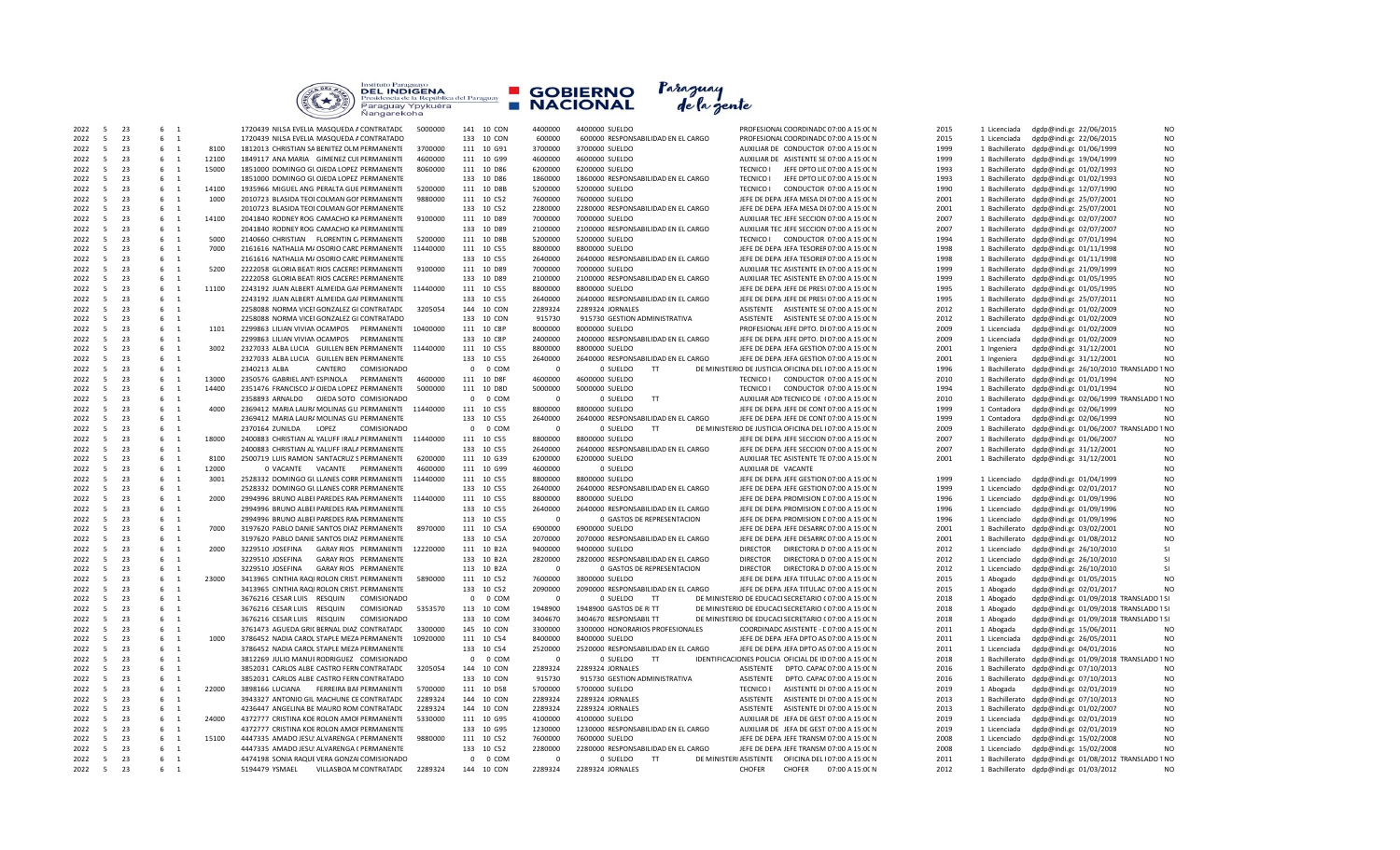| <b>COLLEGE</b> | Instituto Paraguayo<br><b>DEL INDIGENA</b><br>Presidencia de la República del Paraguay<br>Paraguay Ypykuéra<br>Nangarekoha |  | <b>E</b> GOBIERNO<br><b>NACIONAL</b> | Paraguay<br>de la gente |  |
|----------------|----------------------------------------------------------------------------------------------------------------------------|--|--------------------------------------|-------------------------|--|
|----------------|----------------------------------------------------------------------------------------------------------------------------|--|--------------------------------------|-------------------------|--|

| 2022 | 5              | 23 | 6 1                           |       | 1720439 NILSA EVELIA MASQUEDA A CONTRATADC   | 5000000  | 141 10 CON            | 4400000  | 4400000 SUELDO                      | PROFESIONAL COORDINADC 07:00 A 15:00 N                 | 2015 | 1 Licenciada   | dgdp@indi.gc 22/06/2015                                  |
|------|----------------|----|-------------------------------|-------|----------------------------------------------|----------|-----------------------|----------|-------------------------------------|--------------------------------------------------------|------|----------------|----------------------------------------------------------|
|      |                |    |                               |       |                                              |          |                       |          |                                     |                                                        |      |                |                                                          |
| 2022 | 5              | 23 | 6 1                           |       | 1720439 NILSA EVELIA MASQUEDA A CONTRATADO   |          | 133 10 CON            | 600000   | 600000 RESPONSABILIDAD EN EL CARGO  | PROFESIONAL COORDINADC 07:00 A 15:00 N                 | 2015 | 1 Licenciada   | N <sub>O</sub><br>dgdp@indi.gc 22/06/2015                |
| 2022 | -5             | 23 | 6<br>$\overline{\phantom{0}}$ | 8100  | 1812013 CHRISTIAN SA BENITEZ OLM PERMANENTE  | 3700000  | 111 10 G91            | 3700000  | 3700000 SUELDO                      | AUXILIAR DE CONDUCTOR 07:00 A 15:00 N                  | 1999 |                | N <sub>O</sub><br>1 Bachillerato dgdp@indi.gc 01/06/1999 |
| 2022 | 5              | 23 | 6 1                           | 12100 | 1849117 ANA MARIA GIMENEZ CUI PERMANENTE     | 4600000  | 111 10 G99            | 4600000  | 4600000 SUELDO                      | AUXILIAR DE ASISTENTE SE 07:00 A 15:00 N               | 1999 |                | 1 Bachillerato dgdp@indi.gc 19/04/1999<br>N <sub>O</sub> |
| 2022 | $5^{\circ}$    | 23 | 6 1                           | 15000 | 1851000 DOMINGO GLOJEDA LOPEZ PERMANENTE     | 8060000  | 111 10 D86            | 6200000  | 6200000 SUELDO                      | TECNICO I JEFE DPTO LIL 07:00 A 15:00 N                | 1993 | 1 Bachillerato | N <sub>O</sub><br>dgdp@indi.gc 01/02/1993                |
| 2022 | 5              | 23 | 6 1                           |       | 1851000 DOMINGO GLOJEDA LOPEZ PERMANENTE     |          | 133 10 D86            | 1860000  | 1860000 RESPONSABILIDAD EN EL CARGO | <b>TECNICO I</b><br>JEFE DPTO LIL 07:00 A 15:00 N      | 1993 |                | 1 Bachillerato dgdp@indi.gc 01/02/1993<br>N <sub>O</sub> |
| 2022 | 5              | 23 | 6 1                           | 14100 | 1935966 MIGUEL ANG PERALTA GUE PERMANENTE    | 5200000  | 111 10 D8B            | 5200000  | 5200000 SUELDO                      | TECNICO I CONDUCTOR 07:00 A 15:00 N                    | 1990 |                | 1 Bachillerato dgdp@indi.gc 12/07/1990<br>N <sub>O</sub> |
|      |                |    |                               |       |                                              |          |                       |          |                                     |                                                        |      |                |                                                          |
| 2022 | 5              | 23 | 6 1                           | 1000  | 2010723 BLASIDA TEOI COLMAN GOI PERMANENTE   | 9880000  | 111 10 C52            | 7600000  | 7600000 SUELDO                      | JEFE DE DEPA JEFA MESA DI 07:00 A 15:00 N              | 2001 |                | 1 Bachillerato dgdp@indi.gc 25/07/2001<br>N <sub>O</sub> |
| 2022 | 5              | 23 | $6 \quad 1$                   |       | 2010723 BLASIDA TEOI COLMAN GOI PERMANENTE   |          | 133 10 C52            | 2280000  | 2280000 RESPONSABILIDAD EN EL CARGO | JEFE DE DEPA JEFA MESA DI 07:00 A 15:00 N              | 2001 |                | N <sub>O</sub><br>1 Bachillerato dgdp@indi.gc 25/07/2001 |
| 2022 | -5             | 23 | 6 1                           | 14100 | 2041840 RODNEY ROG CAMACHO KA PERMANENTE     | 9100000  | 111 10 D89            | 7000000  | 7000000 SUELDO                      | AUXILIAR TEC JEFE SECCION 07:00 A 15:00 N              | 2007 |                | 1 Bachillerato dgdp@indi.gc 02/07/2007<br>N <sub>O</sub> |
| 2022 | -5             | 23 | 6 1                           |       | 2041840 RODNEY ROG CAMACHO KA PERMANENTE     |          | 133 10 D89            | 2100000  | 2100000 RESPONSABILIDAD EN EL CARGO | AUXILIAR TEC JEFE SECCION 07:00 A 15:00 N              | 2007 |                | N <sub>O</sub><br>1 Bachillerato dgdp@indi.gc 02/07/2007 |
| 2022 | $5^{\circ}$    | 23 | 6 1                           | 5000  | 2140660 CHRISTIAN FLORENTIN C. PERMANENTE    | 5200000  | 111 10 D8B            | 5200000  | 5200000 SUELDO                      | TECNICO I CONDUCTOR 07:00 A 15:00 N                    | 1994 |                | N <sub>O</sub><br>1 Bachillerato dgdp@indi.gc 07/01/1994 |
| 2022 | 5              | 23 | 6 1                           | 7000  | 2161616 NATHALIA M/ OSORIO CARE PERMANENTE   | 11440000 | 111 10 C55            | 8800000  | 8800000 SUELDO                      | JEFE DE DEPA JEFA TESOREF 07:00 A 15:00 N              | 1998 |                | 1 Bachillerato dgdp@indi.gc 01/11/1998<br>N <sub>O</sub> |
|      |                | 23 |                               |       |                                              |          |                       |          |                                     |                                                        | 1998 |                |                                                          |
| 2022 | 5              |    | $6 \quad 1$                   |       | 2161616 NATHALIA M/ OSORIO CARE PERMANENTE   |          | 133 10 C55            | 2640000  | 2640000 RESPONSABILIDAD EN EL CARGO | JEFE DE DEPA JEFA TESOREF 07:00 A 15:00 N              |      |                | N <sub>O</sub><br>1 Bachillerato dgdp@indi.gc 01/11/1998 |
| 2022 | 5              | 23 | 6 1                           | 5200  | 2222058 GLORIA BEATI RIOS CACERES PERMANENTE | 9100000  | 111 10 D89            | 7000000  | 7000000 SUELDO                      | AUXILIAR TEC ASISTENTE EN 07:00 A 15:00 N              | 1999 | 1 Bachillerato | dgdp@indi.gc 21/09/1999<br>N <sub>O</sub>                |
| 2022 | 5              | 23 | $6 \quad 1$                   |       | 2222058 GLORIA BEATI RIOS CACERES PERMANENTE |          | 133 10 D89            | 2100000  | 2100000 RESPONSABILIDAD EN EL CARGO | AUXILIAR TEC ASISTENTE EN 07:00 A 15:00 N              | 1999 |                | N <sub>O</sub><br>1 Bachillerato dgdp@indi.gc 01/05/1995 |
| 2022 | -5             | 23 | 6 1                           | 11100 | 2243192 JUAN ALBERT ALMEIDA GAF PERMANENTE   | 11440000 | 111 10 C55            | 8800000  | 8800000 SUELDO                      | JEFE DE DEPA JEFE DE PRESI 07:00 A 15:00 N             | 1995 |                | 1 Bachillerato dgdp@indi.gc 01/05/1995<br>N <sub>O</sub> |
| 2022 | -5             | 23 | $6 \quad 1$                   |       | 2243192 JUAN ALBERT ALMEIDA GAI PERMANENTE   |          | 133 10 C55            | 2640000  | 2640000 RESPONSABILIDAD EN EL CARGO | JEFE DE DEPA JEFE DE PRESI 07:00 A 15:00 N             | 1995 |                | N <sub>O</sub><br>1 Bachillerato dgdp@indi.gc 25/07/2011 |
| 2022 | $\overline{5}$ | 23 | 6 <sub>1</sub>                |       | 2258088 NORMA VICEI GONZALEZ GI CONTRATADC   | 3205054  | 144 10 CON            | 2289324  | 2289324 JORNALES                    | ASISTENTE ASISTENTE SE 07:00 A 15:00 N                 | 2012 |                | N <sub>O</sub><br>1 Bachillerato dgdp@indi.gc 01/02/2009 |
| 2022 | -5             | 23 | 6 1                           |       | 2258088 NORMA VICEI GONZALEZ GI CONTRATADO   |          | 133 10 CON            | 915730   | 915730 GESTION ADMINISTRATIVA       | ASISTENTE ASISTENTE SE 07:00 A 15:00 N                 | 2012 |                | 1 Bachillerato dgdp@indi.gc 01/02/2009<br>N <sub>O</sub> |
|      | 5              | 23 | 6 1                           | 1101  | 2299863 LILIAN VIVIAN OCAMPOS PERMANENTE     | 10400000 | 111 10 C8P            | 8000000  | 8000000 SUELDO                      | PROFESIONAL JEFE DPTO. DI 07:00 A 15:00 N              | 2009 |                | N <sub>O</sub>                                           |
| 2022 |                |    |                               |       |                                              |          |                       |          |                                     |                                                        |      | 1 Licenciada   | dgdp@indi.gc 01/02/2009                                  |
| 2022 | 5              | 23 | 6 1                           |       | 2299863 LILIAN VIVIAN OCAMPOS<br>PERMANENTE  |          | 133 10 C8P            | 2400000  | 2400000 RESPONSABILIDAD EN EL CARGO | JEFE DE DEPA JEFE DPTO. DI 07:00 A 15:00 N             | 2009 | 1 Licenciada   | dgdp@indi.gc 01/02/2009<br>N <sub>O</sub>                |
| 2022 | 5              | 23 | 6 1                           | 3002  | 2327033 ALBA LUCIA GUILLEN BEN PERMANENTE    | 11440000 | 111 10 C55            | 8800000  | 8800000 SUELDO                      | JEFE DE DEPA JEFA GESTION 07:00 A 15:00 N              | 2001 | 1 Ingeniera    | N <sub>O</sub><br>dgdp@indi.gc 31/12/2001                |
| 2022 | -5             | 23 | 6 1                           |       | 2327033 ALBA LUCIA GUILLEN BEN PERMANENTE    |          | 133 10 C55            | 2640000  | 2640000 RESPONSABILIDAD EN EL CARGO | JEFE DE DEPA JEFA GESTION 07:00 A 15:00 N              | 2001 | 1 Ingeniera    | N <sub>O</sub><br>dgdp@indi.gc 31/12/2001                |
| 2022 | -5             | 23 | 6 1                           |       | CANTERO<br>2340213 ALBA<br>COMISIONADO       |          | 0 0 COM               |          | 0 SUELDO<br>T                       | DE MINISTERIO DE JUSTICIA OFICINA DEL 107:00 A 15:00 N | 1996 | 1 Bachillerato | dgdp@indi.gc 26/10/2010 TRANSLADO 1 NO                   |
| 2022 | 5              | 23 | $6 \quad 1$                   | 13000 | 2350576 GABRIEL ANTI ESPINOLA<br>PERMANENTE  | 4600000  | 111 10 D8F            | 4600000  | 4600000 SUELDO                      | <b>TECNICO I</b><br>CONDUCTOR 07:00 A 15:00 N          | 2010 | 1 Bachillerato | dgdp@indi.gc 01/01/1994<br>N <sub>O</sub>                |
| 2022 | 5              | 23 | 6 1                           | 14400 | 2351476 FRANCISCO J/ OJEDA LOPEZ PERMANENTE  | 5000000  | 111 10 D8D            | 5000000  | 5000000 SUELDO                      | TECNICO I CONDUCTOR 07:00 A 15:00 N                    | 1994 |                | 1 Bachillerato dgdp@indi.gc 01/01/1994<br>N <sub>O</sub> |
|      |                |    |                               |       |                                              |          |                       |          |                                     |                                                        |      |                |                                                          |
| 2022 | 5              | 23 | 6 1                           |       | 2358893 ARNALDO  OJEDA SOTO COMISIONADO      |          | 0 0 COM               | $\Omega$ | 0 SUELDO<br>T                       | AUXILIAR ADI TECNICO DE (07:00 A 15:00 N               | 2010 | 1 Bachillerato | dgdp@indi.gc 02/06/1999 TRANSLADO 1 NO                   |
| 2022 | 5              | 23 | 6 1                           | 4000  | 2369412 MARIA LAUR/ MOLINAS GU PERMANENTE    | 11440000 | 111 10 C55            | 8800000  | 8800000 SUELDO                      | JEFE DE DEPA JEFE DE CONT 07:00 A 15:00 N              | 1999 | 1 Contadora    | dgdp@indi.gc 02/06/1999<br>N <sub>O</sub>                |
| 2022 | 5              | 23 | 6 1                           |       | 2369412 MARIA LAUR/ MOLINAS GU PERMANENTE    |          | 133 10 C55            | 2640000  | 2640000 RESPONSABILIDAD EN EL CARGO | JEFE DE DEPA JEFE DE CONT 07:00 A 15:00 N              | 1999 | 1 Contadora    | N <sub>O</sub><br>dgdp@indi.gc 02/06/1999                |
| 2022 | -5             | 23 | 6 1                           |       | 2370164 ZUNILDA LOPEZ<br><b>COMISIONADO</b>  |          | 0 0 COM               | $\Omega$ | 0 SUELDO<br><b>TT</b>               | DE MINISTERIO DE JUSTICIA OFICINA DEL 107:00 A 15:00 N | 2009 |                | 1 Bachillerato dgdp@indi.gc 01/06/2007 TRANSLADO 1 NO    |
| 2022 | 5              | 23 | 6 1                           | 18000 | 2400883 CHRISTIAN AL YALUFF IRALA PERMANENTE | 11440000 | 111 10 C55            | 8800000  | 8800000 SUELDO                      | JEFE DE DEPA JEFE SECCION 07:00 A 15:00 N              | 2007 |                | 1 Bachillerato dgdp@indi.gc 01/06/2007<br>N <sub>O</sub> |
| 2022 | 5              | 23 | 6 1                           |       | 2400883 CHRISTIAN AL YALUFF IRALA PERMANENTE |          | 133 10 C55            | 2640000  | 2640000 RESPONSABILIDAD EN EL CARGO | JEFE DE DEPA JEFE SECCION 07:00 A 15:00 N              | 2007 |                | N <sub>O</sub><br>1 Bachillerato dgdp@indi.gc 31/12/2001 |
| 2022 | 5              | 23 | 6 1                           | 8100  | 2500719 LUIS RAMON SANTACRUZ S PERMANENTE    | 6200000  | 111 10 G39            | 6200000  | 6200000 SUELDO                      | AUXILIAR TEC ASISTENTE TE 07:00 A 15:00 N              | 2001 |                | 1 Bachillerato dgdp@indi.gc 31/12/2001<br>N <sub>O</sub> |
|      |                |    |                               |       |                                              |          |                       |          |                                     |                                                        |      |                |                                                          |
| 2022 | 5              | 23 | 6 1                           | 12000 | 0 VACANTE  VACANTE  PERMANENTE               | 4600000  | 111 10 G99            | 4600000  | 0 SUELDO                            | AUXILIAR DE VACANTE                                    |      |                | N <sub>O</sub>                                           |
| 2022 | 5              | 23 | 6 1                           | 3001  | 2528332 DOMINGO GLLLANES CORR PERMANENTE     | 11440000 | 111 10 C55            | 8800000  | 8800000 SUELDO                      | JEFE DE DEPA JEFE GESTION 07:00 A 15:00 N              | 1999 | 1 Licenciado   | N <sub>O</sub><br>dgdp@indi.gc 01/04/1999                |
| 2022 | 5              | 23 | 6<br>$\overline{1}$           |       | 2528332 DOMINGO GL LLANES CORR PERMANENTE    |          | 133 10 C55            | 2640000  | 2640000 RESPONSABILIDAD EN EL CARGO | JEFE DE DEPA JEFE GESTION 07:00 A 15:00 N              | 1999 | 1 Licenciado   | dgdp@indi.gc 02/01/2017<br>N <sub>O</sub>                |
| 2022 | 5              | 23 | 6 1                           | 2000  | 2994996 BRUNO ALBEI PAREDES RAN PERMANENTE   | 11440000 | 111 10 C55            | 8800000  | 8800000 SUELDO                      | JEFE DE DEPA PROMISION E 07:00 A 15:00 N               | 1996 | 1 Licenciado   | N <sub>O</sub><br>dgdp@indi.gc 01/09/1996                |
| 2022 | -5             | 23 | 6 1                           |       | 2994996 BRUNO ALBEI PAREDES RAN PERMANENTE   |          | 133 10 C55            | 2640000  | 2640000 RESPONSABILIDAD EN EL CARGO | JEFE DE DEPA PROMISION E 07:00 A 15:00 N               | 1996 | 1 Licenciado   | dgdp@indi.gc 01/09/1996<br>N <sub>O</sub>                |
| 2022 | 5              | 23 | 6 1                           |       | 2994996 BRUNO ALBEI PAREDES RAN PERMANENTE   |          | 113 10 C55            | $\Omega$ | 0 GASTOS DE REPRESENTACION          | JEFE DE DEPA PROMISION E 07:00 A 15:00 N               | 1996 | 1 Licenciado   | N <sub>O</sub><br>dgdp@indi.gc 01/09/1996                |
| 2022 | -5             | 23 | 6 1                           | 7000  | 3197620 PABLO DANIE SANTOS DIAZ PERMANENTE   | 8970000  | 111 10 C5A            | 6900000  | 6900000 SUELDO                      | JEFE DE DEPA JEFE DESARRC 07:00 A 15:00 N              | 2001 | 1 Bachillerato | N <sub>O</sub><br>dgdp@indi.gc 03/02/2001                |
| 2022 | 5              | 23 | 6 1                           |       | 3197620 PABLO DANIE SANTOS DIAZ PERMANENTE   |          | 133 10 C5A            | 2070000  |                                     | JEFE DE DEPA JEFE DESARRC 07:00 A 15:00 N              | 2001 |                | N <sub>O</sub>                                           |
|      |                |    |                               |       |                                              |          |                       |          | 2070000 RESPONSABILIDAD EN EL CARGO |                                                        |      | 1 Bachillerato | dgdp@indi.gc 01/08/2012                                  |
| 2022 | 5              | 23 | 6 1                           | 2000  | 3229510 JOSEFINA<br>GARAY RIOS PERMANENTE    | 12220000 | 111 10 B2A            | 9400000  | 9400000 SUELDO                      | <b>DIRECTOR</b><br>DIRECTORA D 07:00 A 15:00 N         | 2012 | 1 Licenciado   | dgdp@indi.gc 26/10/2010<br><b>SI</b>                     |
| 2022 | $\overline{5}$ | 23 | 6<br>$\overline{1}$           |       | 3229510 JOSEFINA<br>GARAY RIOS PERMANENTE    |          | 133 10 B2A            | 2820000  | 2820000 RESPONSABILIDAD EN EL CARGO | <b>DIRECTOR</b><br>DIRECTORA D 07:00 A 15:00 N         | 2012 | 1 Licenciado   | dgdp@indi.gc 26/10/2010                                  |
| 2022 | 5              | 23 | 6 1                           |       | 3229510 JOSEFINA<br>GARAY RIOS PERMANENTE    |          | 113 10 B2A            | $\Omega$ | 0 GASTOS DE REPRESENTACION          | <b>DIRECTOR</b><br>DIRECTORA D 07:00 A 15:00 N         | 2012 | 1 Licenciado   | dgdp@indi.gc 26/10/2010                                  |
| 2022 | 5              | 23 | 6 1                           | 23000 | 3413965 CINTHIA RAOI ROLON CRIST, PERMANENTE | 5890000  | 111 10 C52            | 7600000  | 3800000 SUELDO                      | JEFE DE DEPA JEFA TITULAC 07:00 A 15:00 N              | 2015 | 1 Abogado      | N <sub>O</sub><br>dgdp@indi.gc 01/05/2015                |
| 2022 | 5              | 23 | $6 \quad 1$                   |       | 3413965 CINTHIA RAQI ROLON CRIST. PERMANENTE |          | 133 10 C52            | 2090000  | 2090000 RESPONSABILIDAD EN EL CARGO | JEFE DE DEPA JEFA TITULAC 07:00 A 15:00 N              | 2015 | 1 Abogado      | N <sub>O</sub><br>dgdp@indi.gc 02/01/2017                |
| 2022 | 5              | 23 | 6 1                           |       | 3676216 CESAR LUIS RESQUIN<br>COMISIONADO    |          | 0 0 COM               | $\Omega$ | 0 SUELDO<br>TT                      | DE MINISTERIO DE EDUCACI SECRETARIO (07:00 A 15:00 N   | 2018 | 1 Abogado      | dgdp@indi.gc 01/09/2018 TRANSLADO 1 SI                   |
| 2022 | 5              | 23 | 6 1                           |       | 3676216 CESAR LUIS<br>RESQUIN<br>COMISIONAD  | 5353570  | 113 10 COM            | 1948900  | 1948900 GASTOS DE RITT              | DE MINISTERIO DE EDUCACI SECRETARIO (07:00 A 15:00 N   | 2018 |                | dgdp@indi.gc 01/09/2018 TRANSLADO 1S                     |
|      |                |    |                               |       |                                              |          |                       |          |                                     |                                                        |      | 1 Abogado      |                                                          |
| 2022 | 5              | 23 | 6 1                           |       | 3676216 CESAR LUIS RESQUIN<br>COMISIONADO    |          | 133 10 COM            | 3404670  | 3404670 RESPONSABIL TT              | DE MINISTERIO DE EDUCACI SECRETARIO (07:00 A 15:00 N   | 2018 | 1 Abogado      | dgdp@indi.gc 01/09/2018 TRANSLADO 1 SI                   |
| 2022 | 5              | 23 | 6<br>$\overline{1}$           |       | 3761473 AGUEDA GRI( BERNAL DIAZ CONTRATADC   | 3300000  | 145 10 CON            | 3300000  | 3300000 HONORARIOS PROFESIONALES    | COORDINADC ASISTENTE - E 07:00 A 15:00 N               | 2011 | 1 Abogada      | dgdp@indi.gc 15/06/2011<br>N <sub>O</sub>                |
| 2022 | 5              | 23 | 6 1                           | 1000  | 3786452 NADIA CAROL STAPLE MEZA PERMANENTE   | 10920000 | 111 10 C54            | 8400000  | 8400000 SUELDO                      | JEFE DE DEPA JEFA DPTO AS 07:00 A 15:00 N              | 2011 | 1 Licenciada   | N <sub>O</sub><br>dgdp@indi.gc 26/05/2011                |
| 2022 | -5             | 23 | 6 1                           |       | 3786452 NADIA CAROL STAPLE MEZA PERMANENTE   |          | 133 10 C54            | 2520000  | 2520000 RESPONSABILIDAD EN EL CARGO | JEFE DE DEPA JEFA DPTO AS 07:00 A 15:00 N              | 2011 | 1 Licenciada   | N <sub>O</sub><br>dgdp@indi.gc 04/01/2016                |
| 2022 | 5              | 23 | 6 1                           |       | 3812269 JULIO MANUI RODRIGUEZ COMISIONADO    |          | $\mathbf{0}$<br>0 COM | $\Omega$ | 0 SUELDO<br>T                       | IDENTIFICACIONES POLICIA OFICIAL DE ID 07:00 A 15:00 N | 2018 | 1 Bachillerato | dgdp@indi.gc 01/09/2018 TRANSLADO 1 NO                   |
| 2022 | 5              | 23 | 6 1                           |       | 3852031 CARLOS ALBE CASTRO FERN CONTRATADC   | 3205054  | 144 10 CON            | 2289324  | 2289324 JORNALES                    | ASISTENTE DPTO. CAPAC 07:00 A 15:00 N                  | 2016 | 1 Bachillerato | N <sub>O</sub><br>dgdp@indi.gc 07/10/2013                |
| 2022 | 5              | 23 | 6 1                           |       | 3852031 CARLOS ALBE CASTRO FERN CONTRATADO   |          | 133 10 CON            | 915730   | 915730 GESTION ADMINISTRATIVA       | DPTO. CAPAC 07:00 A 15:00 N<br><b>ASISTENTE</b>        | 2016 | 1 Bachillerato | N <sub>O</sub>                                           |
|      |                |    |                               |       |                                              |          |                       |          |                                     |                                                        |      |                | dgdp@indi.gc 07/10/2013                                  |
| 2022 | 5              | 23 | $6 \quad 1$                   | 22000 | 3898166 LUCIANA<br>FERREIRA BAF PERMANENTE   | 5700000  | 111 10 D58            | 5700000  | 5700000 SUELDO                      | <b>TECNICO I</b><br>ASISTENTE DI 07:00 A 15:00 N       | 2019 | 1 Abogada      | N <sub>O</sub><br>dgdp@indi.gc 02/01/2019                |
| 2022 | $\overline{5}$ | 23 | 6 1                           |       | 3943327 ANTONIO GIL MACHUNE CE CONTRATADC    | 2289324  | 144 10 CON            | 2289324  | 2289324 JORNALES                    | ASISTENTE DI 07:00 A 15:00 N<br><b>ASISTENTE</b>       | 2013 | 1 Bachillerato | N <sub>O</sub><br>dgdp@indi.gc 07/10/2013                |
| 2022 | 5              | 23 | 6 1                           |       | 4236447 ANGELINA BE MAURO ROM CONTRATADC     | 2289324  | 144 10 CON            | 2289324  | 2289324 JORNALES                    | ASISTENTE ASISTENTE DI 07:00 A 15:00 N                 | 2013 | 1 Bachillerato | dgdp@indi.gc 01/02/2007<br>N <sub>O</sub>                |
| 2022 | $5^{\circ}$    | 23 | 6 1                           | 24000 | 4372777 CRISTINA KOE ROLON AMOI PERMANENTE   | 5330000  | 111 10 G95            | 4100000  | 4100000 SUELDO                      | AUXILIAR DE JEFA DE GEST 07:00 A 15:00 N               | 2019 | 1 Licenciada   | N <sub>O</sub><br>dgdp@indi.gc 02/01/2019                |
| 2022 | 5              | 23 | 6 1                           |       | 4372777 CRISTINA KOE ROLON AMOI PERMANENTE   |          | 133 10 G95            | 1230000  | 1230000 RESPONSABILIDAD EN EL CARGO | AUXILIAR DE JEFA DE GEST 07:00 A 15:00 N               | 2019 | 1 Licenciada   | dgdp@indi.gc 02/01/2019<br>N <sub>O</sub>                |
| 2022 | 5              | 23 | 6 1                           | 15100 | 4447335 AMADO JESU: ALVARENGA ( PERMANENTE   | 9880000  | 111 10 C52            | 7600000  | 7600000 SUELDO                      | JEFE DE DEPA JEFE TRANSM 07:00 A 15:00 N               | 2008 | 1 Licenciado   | N <sub>O</sub><br>dgdp@indi.gc 15/02/2008                |
| 2022 | 5              | 23 | 6 1                           |       | 4447335 AMADO JESU: ALVARENGA ( PERMANENTE   |          | 133 10 C52            | 2280000  | 2280000 RESPONSABILIDAD EN EL CARGO | JEFE DE DEPA JEFE TRANSM 07:00 A 15:00 N               | 2008 | 1 Licenciado   | N <sub>O</sub><br>dgdp@indi.gc 15/02/2008                |
|      |                |    |                               |       |                                              |          |                       | $\Omega$ | TT.                                 |                                                        | 2011 |                |                                                          |
| 2022 | 5              | 23 | 6 1                           |       | 4474198 SONIA RAQUE VERA GONZAI COMISIONADO  |          | $\mathbf{0}$<br>0 COM |          | 0 SUELDO                            | DE MINISTERI ASISTENTE  OFICINA DEL 107:00 A 15:00 N   |      |                | 1 Bachillerato dgdp@indi.gc 01/08/2012 TRANSLADO 1 NO    |
| 2022 | $5^{\circ}$    | 23 | 6 1                           |       | 5194479 YSMAEL<br>VILLASBOA M CONTRATADC     | 2289324  | 144 10 CON            | 2289324  | 2289324 JORNALES                    | <b>CHOFER</b><br><b>CHOFER</b><br>07:00 A 15:00 N      | 2012 |                | 1 Bachillerato dgdp@indi.gc 01/03/2012<br>N <sub>O</sub> |

| 4400000     | 4400000 SUELDO |                                           |                     |               | PROFESIONAL COORDINADC 07:00 A 15:00 N                 | 2015 | 1 Licenciada   | dgdp@indi.gc 22/06/2015 | N <sub>O</sub>                         |
|-------------|----------------|-------------------------------------------|---------------------|---------------|--------------------------------------------------------|------|----------------|-------------------------|----------------------------------------|
| 600000      |                | 600000 RESPONSABILIDAD EN EL CARGO        |                     |               | PROFESIONAI COORDINADC 07:00 A 15:00 N                 | 2015 | 1 Licenciada   | dgdp@indi.gc 22/06/2015 | N <sub>O</sub>                         |
| 3700000     | 3700000 SUELDO |                                           |                     |               | AUXILIAR DE CONDUCTOR 07:00 A 15:00 N                  | 1999 | 1 Bachillerato | dgdp@indi.gc 01/06/1999 | N <sub>O</sub>                         |
| 4600000     | 4600000 SUELDO |                                           |                     |               | AUXILIAR DE ASISTENTE SE 07:00 A 15:00 N               | 1999 | 1 Bachillerato | dgdp@indi.gc 19/04/1999 | N <sub>O</sub>                         |
|             |                |                                           |                     |               |                                                        |      |                |                         |                                        |
| 6200000     | 6200000 SUELDO |                                           | <b>TECNICO I</b>    |               | JEFE DPTO LIE 07:00 A 15:00 N                          | 1993 | 1 Bachillerato | dgdp@indi.gc 01/02/1993 | N <sub>O</sub>                         |
| 1860000     |                | 1860000 RESPONSABILIDAD EN EL CARGO       | <b>TECNICO I</b>    |               | JEFE DPTO LIL 07:00 A 15:00 N                          | 1993 | 1 Bachillerato | dgdp@indi.gc 01/02/1993 | N <sub>O</sub>                         |
| 5200000     | 5200000 SUELDO |                                           | <b>TECNICO I</b>    |               | CONDUCTOR 07:00 A 15:00 N                              | 1990 | 1 Bachillerato | dgdp@indi.gc 12/07/1990 | N <sub>O</sub>                         |
| 7600000     | 7600000 SUELDO |                                           |                     |               | JEFE DE DEPA JEFA MESA DI 07:00 A 15:00 N              | 2001 | 1 Bachillerato | dgdp@indi.gc 25/07/2001 | N <sub>O</sub>                         |
|             |                |                                           |                     |               |                                                        |      |                |                         |                                        |
| 2280000     |                | 2280000 RESPONSABILIDAD EN EL CARGO       |                     |               | JEFE DE DEPA JEFA MESA DI 07:00 A 15:00 N              | 2001 | 1 Bachillerato | dgdp@indi.gc 25/07/2001 | N <sub>O</sub>                         |
| 7000000     | 7000000 SUELDO |                                           |                     |               | AUXILIAR TEC JEFE SECCION 07:00 A 15:00 N              | 2007 | 1 Bachillerato | dgdp@indi.gc 02/07/2007 | N <sub>O</sub>                         |
| 2100000     |                | 2100000 RESPONSABILIDAD EN EL CARGO       |                     |               | AUXILIAR TEC JEFE SECCION 07:00 A 15:00 N              | 2007 | 1 Bachillerato | dgdp@indi.gc 02/07/2007 | <b>NO</b>                              |
| 5200000     | 5200000 SUELDO |                                           | TFCNICO I           |               | CONDUCTOR 07:00 A 15:00 N                              | 1994 | 1 Bachillerato | dgdp@indi.gc 07/01/1994 | N <sub>O</sub>                         |
| 8800000     |                |                                           |                     |               |                                                        | 1998 | 1 Bachillerato |                         | N <sub>O</sub>                         |
|             | 8800000 SUELDO |                                           |                     |               | JEFE DE DEPA JEFA TESOREF 07:00 A 15:00 N              |      |                | dgdp@indi.gc 01/11/1998 |                                        |
| 2640000     |                | 2640000 RESPONSABILIDAD EN EL CARGO       |                     |               | JEFE DE DEPA JEFA TESOREF 07:00 A 15:00 N              | 1998 | 1 Bachillerato | dgdp@indi.gc 01/11/1998 | N <sub>O</sub>                         |
| 7000000     | 7000000 SUELDO |                                           |                     |               | AUXILIAR TEC ASISTENTE EN 07:00 A 15:00 N              | 1999 | 1 Bachillerato | dgdp@indi.gc 21/09/1999 | N <sub>O</sub>                         |
| 2100000     |                | 2100000 RESPONSABILIDAD EN EL CARGO       |                     |               | AUXILIAR TEC ASISTENTE EN 07:00 A 15:00 N              | 1999 | 1 Bachillerato | dgdp@indi.gc 01/05/1995 | N <sub>O</sub>                         |
| 8800000     | 8800000 SUELDO |                                           |                     |               | JEFE DE DEPA JEFE DE PRESI 07:00 A 15:00 N             | 1995 | 1 Bachillerato | dgdp@indi.gc 01/05/1995 | N <sub>O</sub>                         |
|             |                |                                           |                     |               |                                                        |      |                |                         |                                        |
| 2640000     |                | 2640000 RESPONSABILIDAD EN EL CARGO       |                     |               | JEFE DE DEPA JEFE DE PRESI 07:00 A 15:00 N             | 1995 | 1 Bachillerato | dgdp@indi.gc 25/07/2011 | <b>NO</b>                              |
| 2289324     |                | 2289324 JORNALES                          | <b>ASISTENTE</b>    |               | ASISTENTE SE 07:00 A 15:00 N                           | 2012 | 1 Bachillerato | dgdp@indi.gc 01/02/2009 | N <sub>O</sub>                         |
| 915730      |                | 915730 GESTION ADMINISTRATIVA             | ASISTENTE           |               | ASISTENTE SE 07:00 A 15:00 N                           | 2012 | 1 Bachillerato | dgdp@indi.gc 01/02/2009 | N <sub>O</sub>                         |
| 8000000     | 8000000 SUELDO |                                           |                     |               | PROFESIONAL JEFE DPTO. DI 07:00 A 15:00 N              | 2009 | 1 Licenciada   | dgdp@indi.gc 01/02/2009 | N <sub>O</sub>                         |
| 2400000     |                |                                           |                     |               | JEFE DE DEPA JEFE DPTO. DI 07:00 A 15:00 N             | 2009 | 1 Licenciada   |                         | N <sub>O</sub>                         |
|             |                | 2400000 RESPONSABILIDAD EN EL CARGO       |                     |               |                                                        |      |                | dgdp@indi.gc 01/02/2009 |                                        |
| 8800000     | 8800000 SUELDO |                                           |                     |               | JEFE DE DEPA JEFA GESTION 07:00 A 15:00 N              | 2001 | 1 Ingeniera    | dgdp@indi.gc 31/12/2001 | N <sub>O</sub>                         |
| 2640000     |                | 2640000 RESPONSABILIDAD EN EL CARGO       |                     |               | JEFE DE DEPA JEFA GESTION 07:00 A 15:00 N              | 2001 | 1 Ingeniera    | dgdp@indi.gc 31/12/2001 | N <sub>O</sub>                         |
| 0           |                | 0 SUELDO<br>TT                            |                     |               | DE MINISTERIO DE JUSTICIA OFICINA DEL 107:00 A 15:00 N | 1996 | 1 Bachillerato |                         | dgdp@indi.gc 26/10/2010 TRANSLADO 1 NO |
| 4600000     | 4600000 SUELDO |                                           | TECNICO I           |               | CONDUCTOR 07:00 A 15:00 N                              | 2010 | 1 Bachillerato | dgdp@indi.gc 01/01/1994 | N <sub>O</sub>                         |
|             |                |                                           |                     |               |                                                        |      |                |                         |                                        |
| 5000000     | 5000000 SUELDO |                                           | <b>TECNICO I</b>    |               | CONDUCTOR 07:00 A 15:00 N                              | 1994 | 1 Bachillerato | dgdp@indi.gc 01/01/1994 | N <sub>O</sub>                         |
| $\mathbf 0$ |                | 0 SUELDO<br><b>TT</b>                     |                     |               | AUXILIAR ADI TECNICO DE (07:00 A 15:00 N               | 2010 | 1 Bachillerato |                         | dgdp@indi.gc 02/06/1999 TRANSLADO 1 NO |
| 8800000     | 8800000 SUELDO |                                           |                     |               | JEFE DE DEPA JEFE DE CONT 07:00 A 15:00 N              | 1999 | 1 Contadora    | dgdp@indi.gc 02/06/1999 | N <sub>O</sub>                         |
| 2640000     |                | 2640000 RESPONSABILIDAD EN EL CARGO       |                     |               | JEFE DE DEPA JEFE DE CONT 07:00 A 15:00 N              | 1999 | 1 Contadora    | dgdp@indi.gc 02/06/1999 | N <sub>O</sub>                         |
| $\Omega$    |                | 0 SUELDO<br><b>TT</b>                     |                     |               | DE MINISTERIO DE JUSTICIA OFICINA DEL 107:00 A 15:00 N | 2009 | 1 Bachillerato |                         | dgdp@indi.gc 01/06/2007 TRANSLADO 1 NO |
|             |                |                                           |                     |               |                                                        |      |                |                         |                                        |
| 8800000     | 8800000 SUELDO |                                           |                     |               | JEFE DE DEPA JEFE SECCION 07:00 A 15:00 N              | 2007 | 1 Bachillerato | dgdp@indi.gc 01/06/2007 | N <sub>O</sub>                         |
| 2640000     |                | 2640000 RESPONSABILIDAD EN EL CARGO       |                     |               | JEFE DE DEPA JEFE SECCION 07:00 A 15:00 N              | 2007 | 1 Bachillerato | dgdp@indi.gc 31/12/2001 | N <sub>O</sub>                         |
| 6200000     | 6200000 SUELDO |                                           |                     |               | AUXILIAR TEC ASISTENTE TE 07:00 A 15:00 N              | 2001 | 1 Bachillerato | dgdp@indi.gc 31/12/2001 | N <sub>O</sub>                         |
| 4600000     |                | 0 SUELDO                                  | AUXILIAR DE VACANTE |               |                                                        |      |                |                         | N <sub>O</sub>                         |
| 8800000     | 8800000 SUELDO |                                           |                     |               | JEFE DE DEPA JEFE GESTION 07:00 A 15:00 N              | 1999 | 1 Licenciado   | dgdp@indi.gc 01/04/1999 | N <sub>O</sub>                         |
|             |                |                                           |                     |               |                                                        |      |                |                         |                                        |
| 2640000     |                | 2640000 RESPONSABILIDAD EN EL CARGO       |                     |               | JEFE DE DEPA JEFE GESTION 07:00 A 15:00 N              | 1999 | 1 Licenciado   | dgdp@indi.gc 02/01/2017 | N <sub>O</sub>                         |
| 8800000     | 8800000 SUELDO |                                           |                     |               | JEFE DE DEPA PROMISION E 07:00 A 15:00 N               | 1996 | 1 Licenciado   | dgdp@indi.gc 01/09/1996 | N <sub>O</sub>                         |
| 2640000     |                | 2640000 RESPONSABILIDAD EN EL CARGO       |                     |               | JEFE DE DEPA PROMISION E 07:00 A 15:00 N               | 1996 | 1 Licenciado   | dgdp@indi.gc 01/09/1996 | N <sub>O</sub>                         |
| $\Omega$    |                | 0 GASTOS DE REPRESENTACION                |                     |               | JEFE DE DEPA PROMISION E 07:00 A 15:00 N               | 1996 | 1 Licenciado   | dgdp@indi.gc 01/09/1996 | N <sub>O</sub>                         |
| 6900000     | 6900000 SUELDO |                                           |                     |               | JEFE DE DEPA JEFE DESARRC 07:00 A 15:00 N              | 2001 | 1 Bachillerato | dgdp@indi.gc 03/02/2001 | N <sub>O</sub>                         |
|             |                |                                           |                     |               |                                                        |      |                |                         |                                        |
| 2070000     |                | 2070000 RESPONSABILIDAD EN EL CARGO       |                     |               | JEFE DE DEPA JEFE DESARRC 07:00 A 15:00 N              | 2001 | 1 Bachillerato | dgdp@indi.gc 01/08/2012 | N <sub>O</sub>                         |
| 9400000     | 9400000 SUFLDO |                                           | <b>DIRECTOR</b>     |               | DIRECTORA D 07:00 A 15:00 N                            | 2012 | 1 Licenciado   | dgdp@indi.gc 26/10/2010 | SI                                     |
| 2820000     |                | 2820000 RESPONSABILIDAD EN EL CARGO       | <b>DIRECTOR</b>     |               | DIRECTORA D 07:00 A 15:00 N                            | 2012 | 1 Licenciado   | dgdp@indi.gc 26/10/2010 | SI                                     |
| $\Omega$    |                | 0 GASTOS DE REPRESENTACION                | <b>DIRECTOR</b>     |               | DIRECTORA D 07:00 A 15:00 N                            | 2012 | 1 Licenciado   | dgdp@indi.gc 26/10/2010 | SI                                     |
|             |                |                                           |                     |               |                                                        |      |                |                         |                                        |
| 7600000     | 3800000 SUELDO |                                           |                     |               | JEFE DE DEPA JEFA TITULAC 07:00 A 15:00 N              | 2015 | 1 Abogado      | dgdp@indi.gc 01/05/2015 | N <sub>O</sub>                         |
| 2090000     |                | 2090000 RESPONSABILIDAD EN EL CARGO       |                     |               | JEFE DE DEPA JEFA TITULAC 07:00 A 15:00 N              | 2015 | 1 Abogado      | dgdp@indi.gc 02/01/2017 | N <sub>O</sub>                         |
| $\Omega$    |                | 0 SUELDO<br><b>TT</b>                     |                     |               | DE MINISTERIO DE EDUCACI SECRETARIO (07:00 A 15:00 N   | 2018 | 1 Abogado      |                         | dgdp@indi.gc 01/09/2018 TRANSLADO 1 SI |
| 1948900     |                | 1948900 GASTOS DE RITT                    |                     |               | DE MINISTERIO DE EDUCACI SECRETARIO (07:00 A 15:00 N   | 2018 | 1 Abogado      |                         | dgdp@indi.gc 01/09/2018 TRANSLADO 1 SI |
| 3404670     |                | 3404670 RESPONSABIL TT                    |                     |               | DE MINISTERIO DE EDUCACI SECRETARIO (07:00 A 15:00 N   | 2018 | 1 Abogado      |                         | dgdp@indi.gc 01/09/2018 TRANSLADO 1 SI |
|             |                |                                           |                     |               |                                                        |      |                |                         |                                        |
| 3300000     |                | 3300000 HONORARIOS PROFESIONALES          |                     |               | COORDINADC ASISTENTE - E 07:00 A 15:00 N               | 2011 | 1 Abogada      | dgdp@indi.gc 15/06/2011 | N <sub>O</sub>                         |
| 8400000     | 8400000 SUELDO |                                           |                     |               | JEFE DE DEPA JEFA DPTO AS 07:00 A 15:00 N              | 2011 | 1 Licenciada   | dgdp@indi.gc 26/05/2011 | N <sub>O</sub>                         |
| 2520000     |                | 2520000 RESPONSABILIDAD EN EL CARGO       |                     |               | JEFE DE DEPA JEFA DPTO AS 07:00 A 15:00 N              | 2011 | 1 Licenciada   | dgdp@indi.gc 04/01/2016 | N <sub>O</sub>                         |
| $\Omega$    |                | 0 SUELDO<br><b>TT</b>                     |                     |               | IDENTIFICACIONES POLICIA OFICIAL DE ID 07:00 A 15:00 N | 2018 | 1 Bachillerato |                         | dgdp@indi.g( 01/09/2018 TRANSLADO 1 NO |
|             |                |                                           | ASISTENTE           |               | DPTO. CAPAC 07:00 A 15:00 N                            | 2016 |                |                         | N <sub>O</sub>                         |
| 2289324     |                | 2289324 JORNALES                          |                     |               |                                                        |      | 1 Bachillerato | dgdp@indi.gc 07/10/2013 |                                        |
| 915730      |                | 915730 GESTION ADMINISTRATIVA             | ASISTENTE           |               | DPTO. CAPAC 07:00 A 15:00 N                            | 2016 | 1 Bachillerato | dgdp@indi.gc 07/10/2013 | N <sub>O</sub>                         |
| 5700000     | 5700000 SUELDO |                                           | <b>TECNICO I</b>    |               | ASISTENTE DI 07:00 A 15:00 N                           | 2019 | 1 Abogada      | dgdp@indi.gc 02/01/2019 | N <sub>O</sub>                         |
| 2289324     |                | 2289324 JORNALES                          | ASISTENTE           |               | ASISTENTE DI 07:00 A 15:00 N                           | 2013 | 1 Bachillerato | dgdp@indi.gc 07/10/2013 | N <sub>O</sub>                         |
| 2289324     |                | 2289324 JORNALES                          | <b>ASISTENTE</b>    |               | ASISTENTE DI 07:00 A 15:00 N                           | 2013 | 1 Bachillerato | dgdp@indi.gc 01/02/2007 | N <sub>O</sub>                         |
| 4100000     |                |                                           |                     |               |                                                        | 2019 |                |                         | N <sub>O</sub>                         |
|             | 4100000 SUELDO |                                           |                     |               | AUXILIAR DE JEFA DE GEST 07:00 A 15:00 N               |      | 1 Licenciada   | dgdp@indi.gc 02/01/2019 |                                        |
| 1230000     |                | 1230000 RESPONSABILIDAD EN EL CARGO       |                     |               | AUXILIAR DE JEFA DE GEST 07:00 A 15:00 N               | 2019 | 1 Licenciada   | dgdp@indi.gc 02/01/2019 | N <sub>O</sub>                         |
| 7600000     | 7600000 SUELDO |                                           |                     |               | JEFE DE DEPA JEFE TRANSM 07:00 A 15:00 N               | 2008 | 1 Licenciado   | dgdp@indi.gc 15/02/2008 | N <sub>O</sub>                         |
| 2280000     |                | 2280000 RESPONSABILIDAD EN EL CARGO       |                     |               | JEFE DE DEPA JEFE TRANSM 07:00 A 15:00 N               | 2008 | 1 Licenciado   | dgdp@indi.gc 15/02/2008 | N <sub>O</sub>                         |
|             |                | 0 SUELDO<br>TT.<br>DE MINISTERI ASISTENTE |                     |               | OFICINA DEL 107:00 A 15:00 N                           | 2011 | 1 Bachillerato |                         | dgdp@indi.gc 01/08/2012 TRANSLADO 1 NO |
| $\Omega$    |                |                                           |                     |               |                                                        |      |                |                         |                                        |
| 2289324     |                | 2289324 JORNALES                          | <b>CHOFER</b>       | <b>CHOFER</b> | 07:00 A 15:00 N                                        | 2012 | 1 Bachillerato | dgdp@indi.gc 01/03/2012 | N <sub>O</sub>                         |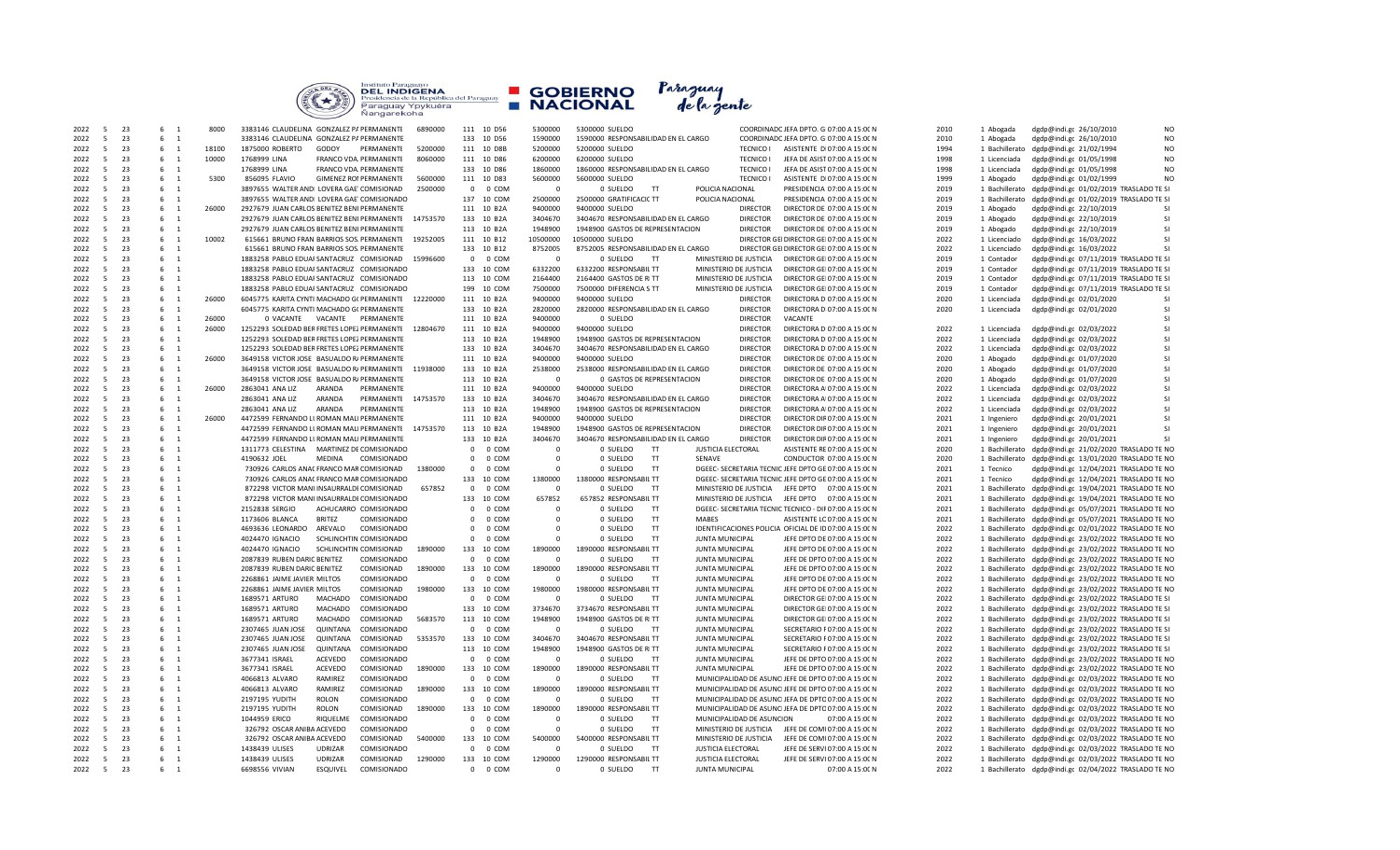

| 2022 | $\overline{a}$ | 23 | 6<br>$\overline{1}$ | 8000  | 3383146 CLAUDELINA GONZALEZ P/ PERMANENTE<br>6890000      |              | 111 10 D56 | 5300000     | 5300000 SUELDO                      |                           | COORDINADC JEFA DPTO. G 07:00 A 15:00 N                | 2010 | 1 Abogada      | dgdp@indi.gc 26/10/2010<br>N <sub>C</sub>                |
|------|----------------|----|---------------------|-------|-----------------------------------------------------------|--------------|------------|-------------|-------------------------------------|---------------------------|--------------------------------------------------------|------|----------------|----------------------------------------------------------|
| 2022 | $\overline{5}$ | 23 | 6<br>$\overline{1}$ |       | 3383146 CLAUDELINA GONZALEZ P/ PERMANENTE                 |              | 133 10 D56 | 1590000     | 1590000 RESPONSABILIDAD EN EL CARGO |                           | COORDINADC JEFA DPTO, G 07:00 A 15:00 N                | 2010 | 1 Abogada      | dgdp@indi.gc 26/10/2010<br>N <sub>C</sub>                |
| 2022 | - 5            | 23 | 6<br>$\overline{1}$ | 18100 | 1875000 ROBERTO<br>GODOY<br>PERMANENTE<br>5200000         |              | 111 10 D8B | 5200000     | 5200000 SUELDO                      | <b>TECNICO I</b>          | ASISTENTE DI 07:00 A 15:00 N                           | 1994 |                | N <sub>C</sub><br>1 Bachillerato dgdp@indi.gc 21/02/1994 |
| 2022 | $\overline{5}$ | 23 | $6\quad 1$          | 10000 | 8060000<br>1768999 LINA<br>FRANCO VDA. PERMANENTE         |              | 111 10 D86 | 6200000     | 6200000 SUELDO                      | <b>TECNICO I</b>          | JEFA DE ASIST 07:00 A 15:00 N                          | 1998 | 1 Licenciada   | N <sub>O</sub><br>dgdp@indi.gc 01/05/1998                |
|      | -5             | 23 | 6<br>$\overline{1}$ |       | 1768999 LINA                                              |              | 133 10 D86 | 1860000     | 1860000 RESPONSABILIDAD EN EL CARGO |                           |                                                        | 1998 |                | N <sub>O</sub>                                           |
| 2022 |                |    |                     |       | FRANCO VDA. PERMANENTE                                    |              |            |             |                                     | <b>TECNICO I</b>          | JEFA DE ASIST 07:00 A 15:00 N                          |      | 1 Licenciada   | dgdp@indi.gc 01/05/1998                                  |
| 2022 | - 5            | 23 | $6\quad 1$          | 5300  | 5600000<br>856095 FLAVIO<br><b>GIMENEZ ROI PERMANENTE</b> |              | 111 10 D83 | 5600000     | 5600000 SUELDO                      | <b>TECNICO I</b>          | ASISTENTE DI 07:00 A 15:00 N                           | 1999 | 1 Abogado      | N <sub>C</sub><br>dgdp@indi.gc 01/02/1999                |
| 2022 | - 5            | 23 | 6 1                 |       | 3897655 WALTER ANDI LOVERA GAE COMISIONAD<br>2500000      | $\mathbf{0}$ | 0 COM      | $\Omega$    | 0 SUELDO<br>TT                      | POLICIA NACIONAL          | PRESIDENCIA 07:00 A 15:00 N                            | 2019 |                | 1 Bachillerato dgdp@indi.gc 01/02/2019 TRASLADO TE SI    |
| 2022 | - 5            | 23 | 6 1                 |       | 3897655 WALTER ANDI LOVERA GAE COMISIONADO                |              | 137 10 COM | 2500000     | 2500000 GRATIFICACIC TT             | POLICIA NACIONAL          | PRESIDENCIA 07:00 A 15:00 N                            | 2019 | 1 Bachillerato | dgdp@indi.gc 01/02/2019 TRASLADO TE SI                   |
| 2022 | $\overline{5}$ | 23 | 6<br>$\overline{1}$ | 26000 | 2927679 JUAN CARLOS BENITEZ BENI PERMANENTE               |              | 111 10 B2A | 9400000     | 9400000 SUELDO                      | <b>DIRECTOR</b>           | DIRECTOR DE 07:00 A 15:00 N                            | 2019 | 1 Abogado      | -SI<br>dgdp@indi.gc 22/10/2019                           |
|      |                |    |                     |       |                                                           |              |            |             |                                     |                           |                                                        |      |                | -SI                                                      |
| 2022 | -5             | 23 | $6\quad 1$          |       | 14753570<br>2927679 JUAN CARLOS BENITEZ BENI PERMANENTE   |              | 133 10 B2A | 3404670     | 3404670 RESPONSABILIDAD EN EL CARGO | <b>DIRECTOR</b>           | DIRECTOR DE 07:00 A 15:00 N                            | 2019 | 1 Abogado      | dgdp@indi.gc 22/10/2019                                  |
| 2022 | $\overline{5}$ | 23 | $\overline{1}$<br>6 |       | 2927679 JUAN CARLOS BENITEZ BENI PERMANENTE               |              | 113 10 B2A | 1948900     | 1948900 GASTOS DE REPRESENTACION    | <b>DIRECTOR</b>           | DIRECTOR DE 07:00 A 15:00 N                            | 2019 | 1 Abogado      | -SI<br>dgdp@indi.gc 22/10/2019                           |
| 2022 | $\overline{5}$ | 23 | 6<br>$\overline{1}$ | 10002 | 615661 BRUNO FRAN BARRIOS SOS. PERMANENTE<br>19252005     |              | 111 10 B12 | 10500000    | 10500000 SUELDO                     |                           | DIRECTOR GE DIRECTOR GEI 07:00 A 15:00 N               | 2022 | 1 Licenciado   | -SI<br>dgdp@indi.gc 16/03/2022                           |
| 2022 | - 5            | 23 | 6 1                 |       | 615661 BRUNO FRAN BARRIOS SOS. PERMANENTE                 |              | 133 10 B12 | 8752005     | 8752005 RESPONSABILIDAD EN EL CARGO |                           | DIRECTOR GE DIRECTOR GEI 07:00 A 15:00 N               | 2022 | 1 Licenciado   | -SI<br>dgdp@indi.gc 16/03/2022                           |
| 2022 | $\overline{5}$ | 23 | 6 1                 |       | 1883258 PABLO EDUAI SANTACRUZ COMISIONAD<br>15996600      | $\mathbf{0}$ | 0 COM      | $\mathbf 0$ | 0 SUELDO<br>TT                      | MINISTERIO DE JUSTICIA    | DIRECTOR GEI 07:00 A 15:00 N                           | 2019 | 1 Contador     | dgdp@indi.gc 07/11/2019 TRASLADO TE SI                   |
|      |                |    |                     |       |                                                           |              |            |             |                                     |                           |                                                        |      |                |                                                          |
| 2022 | 5              | 23 | 6<br>$\overline{1}$ |       | 1883258 PABLO EDUAI SANTACRUZ COMISIONADO                 |              | 133 10 COM | 6332200     | 6332200 RESPONSABIL TT              | MINISTERIO DE JUSTICIA    | DIRECTOR GEI 07:00 A 15:00 N                           | 2019 | 1 Contador     | dgdp@indi.gc 07/11/2019 TRASLADO TE SI                   |
| 2022 | $\overline{5}$ | 23 | 6<br>$\overline{1}$ |       | 1883258 PABLO EDUAI SANTACRUZ COMISIONADO                 |              | 113 10 COM | 2164400     | 2164400 GASTOS DE RITT              | MINISTERIO DE JUSTICIA    | DIRECTOR GEI 07:00 A 15:00 N                           | 2019 | 1 Contador     | dgdp@indi.gc 07/11/2019 TRASLADO TE SI                   |
| 2022 | - 5            | 23 | 6 1                 |       | 1883258 PABLO EDUAI SANTACRUZ COMISIONADO                 |              | 199 10 COM | 7500000     | 7500000 DIFERENCIA S TT             | MINISTERIO DE JUSTICIA    | DIRECTOR GE 07:00 A 15:00 N                            | 2019 | 1 Contador     | dgdp@indi.gc 07/11/2019 TRASLADO TE SI                   |
| 2022 | $\overline{5}$ | 23 | 6 1                 | 26000 | 12220000<br>6045775 KARITA CYNTI MACHADO G( PERMANENTE    |              | 111 10 B2A | 9400000     | 9400000 SUELDO                      | <b>DIRECTOR</b>           | DIRECTORA D 07:00 A 15:00 N                            | 2020 | 1 Licenciada   | -SI<br>dgdp@indi.gc 02/01/2020                           |
| 2022 | - 5            | 23 | 6 1                 |       | 6045775 KARITA CYNTI MACHADO G( PERMANENTE                |              | 133 10 B2A | 2820000     | 2820000 RESPONSABILIDAD EN EL CARGO | <b>DIRECTOR</b>           | DIRECTORA D 07:00 A 15:00 N                            | 2020 | 1 Licenciada   | -SI<br>dgdp@indi.gc 02/01/2020                           |
|      | -5             | 23 | $6\quad 1$          | 26000 |                                                           |              |            | 9400000     |                                     | <b>DIRECTOR</b>           | VACANTE                                                |      |                | -SI                                                      |
| 2022 |                |    |                     |       | 0 VACANTE  VACANTE  PERMANENTE                            |              | 111 10 B2A |             | 0 SUELDO                            |                           |                                                        |      |                |                                                          |
| 2022 | 5              | 23 | 6 1                 | 26000 | 1252293 SOLEDAD BER FRETES LOPEZ PERMANENTE<br>12804670   |              | 111 10 B2A | 9400000     | 9400000 SUELDO                      | <b>DIRECTOR</b>           | DIRECTORA D 07:00 A 15:00 N                            | 2022 | 1 Licenciada   | <b>SI</b><br>dgdp@indi.gc 02/03/2022                     |
| 2022 | $\overline{5}$ | 23 | 6<br>$\overline{1}$ |       | 1252293 SOLEDAD BER FRETES LOPEZ PERMANENTE               |              | 113 10 B2A | 1948900     | 1948900 GASTOS DE REPRESENTACION    | <b>DIRECTOR</b>           | DIRECTORA D 07:00 A 15:00 N                            | 2022 | 1 Licenciada   | -SI<br>dgdp@indi.gc 02/03/2022                           |
| 2022 | - 5            | 23 | 6 1                 |       | 1252293 SOLEDAD BER FRETES LOPEZ PERMANENTE               |              | 133 10 B2A | 3404670     | 3404670 RESPONSABILIDAD EN EL CARGO | <b>DIRECTOR</b>           | DIRECTORA D 07:00 A 15:00 N                            | 2022 | 1 Licenciada   | -SI<br>dgdp@indi.gc 02/03/2022                           |
| 2022 | $\overline{5}$ | 23 | 6 1                 | 26000 | 3649158 VICTOR JOSE BASUALDO R/ PERMANENTE                |              | 111 10 B2A | 9400000     | 9400000 SUFLDO                      | <b>DIRECTOR</b>           | DIRECTOR DE 07:00 A 15:00 N                            | 2020 | 1 Abogado      | <b>SI</b><br>dgdp@indi.gc 01/07/2020                     |
|      | -5             | 23 | 6<br>$\overline{1}$ |       |                                                           |              |            |             |                                     |                           |                                                        |      |                | -SI                                                      |
| 2022 |                |    |                     |       | 11938000<br>3649158 VICTOR JOSE BASUALDO R/ PERMANENTE    |              | 133 10 B2A | 2538000     | 2538000 RESPONSABILIDAD EN EL CARGO | <b>DIRECTOR</b>           | DIRECTOR DE 07:00 A 15:00 N                            | 2020 | 1 Abogado      | dgdp@indi.gc 01/07/2020                                  |
| 2022 | 5              | 23 | 6 1                 |       | 3649158 VICTOR JOSE BASUALDO R/ PERMANENTE                |              | 113 10 B2A | $\mathbf 0$ | 0 GASTOS DE REPRESENTACION          | <b>DIRECTOR</b>           | DIRECTOR DE 07:00 A 15:00 N                            | 2020 | 1 Abogado      | -SI<br>dgdp@indi.gc 01/07/2020                           |
| 2022 | - 5            | 23 | 6 1                 | 26000 | 2863041 ANA LIZ<br>ARANDA<br>PERMANENTE                   |              | 111 10 B2A | 9400000     | 9400000 SUELDO                      | <b>DIRECTOR</b>           | DIRECTORA A 07:00 A 15:00 N                            | 2022 | 1 Licenciada   | -SI<br>dgdp@indi.gc 02/03/2022                           |
| 2022 | - 5            | 23 | 6<br>$\overline{1}$ |       | 2863041 ANA LIZ<br>ARANDA<br>PERMANENTE<br>14753570       |              | 133 10 B2A | 3404670     | 3404670 RESPONSABILIDAD EN EL CARGO | <b>DIRECTOR</b>           | DIRECTORA A 07:00 A 15:00 N                            | 2022 | 1 Licenciada   | -SI<br>dgdp@indi.gc 02/03/2022                           |
| 2022 | - 5            | 23 | 6<br>$\overline{1}$ |       | 2863041 ANA LIZ<br>ARANDA<br>PERMANENTE                   |              | 113 10 B2A | 1948900     | 1948900 GASTOS DE REPRESENTACION    | <b>DIRECTOR</b>           | DIRECTORA A 07:00 A 15:00 N                            | 2022 | 1 Licenciada   | -SI<br>dgdp@indi.gc 02/03/2022                           |
| 2022 | -5             | 23 | 6<br>$\overline{1}$ | 26000 | 4472599 FERNANDO LI ROMAN MALI PERMANENTE                 |              |            | 9400000     |                                     | <b>DIRECTOR</b>           |                                                        | 2021 |                | -SI<br>dgdp@indi.gc 20/01/2021                           |
|      |                |    |                     |       |                                                           |              | 111 10 B2A |             | 9400000 SUELDO                      |                           | DIRECTOR DIF 07:00 A 15:00 N                           |      | 1 Ingeniero    |                                                          |
| 2022 | $\overline{5}$ | 23 | 6<br>$\overline{1}$ |       | 14753570<br>4472599 FERNANDO LI ROMAN MALI PERMANENTE     |              | 113 10 B2A | 1948900     | 1948900 GASTOS DE REPRESENTACION    | <b>DIRECTOR</b>           | DIRECTOR DIF 07:00 A 15:00 N                           | 2021 | 1 Ingeniero    | -SI<br>dgdp@indi.gc 20/01/2021                           |
| 2022 | $\overline{5}$ | 23 | 6<br>$\overline{1}$ |       | 4472599 FERNANDO LI ROMAN MALI PERMANENTE                 |              | 133 10 B2A | 3404670     | 3404670 RESPONSABILIDAD EN EL CARGO | <b>DIRECTOR</b>           | DIRECTOR DIF 07:00 A 15:00 N                           | 2021 | 1 Ingeniero    | -SI<br>dgdp@indi.gc 20/01/2021                           |
| 2022 | - 5            | 23 | 6<br>$\overline{1}$ |       | 1311773 CELESTINA MARTINEZ DE COMISIONADO                 | $\mathbf{0}$ | 0 COM      | $\Omega$    | 0 SUELDO<br>T                       | <b>JUSTICIA ELECTORAL</b> | ASISTENTE RE 07:00 A 15:00 N                           | 2020 |                | 1 Bachillerato dgdp@indi.gc 21/02/2020 TRASLADO TE NC    |
| 2022 | -5             | 23 | 6<br>$\overline{1}$ |       | 4190632 JOEL<br>MEDINA<br>COMISIONADO                     | $\mathbf 0$  | 0 COM      | $\mathbf 0$ | 0 SUELDO<br>T<br>SENAVE             |                           | CONDUCTOR 07:00 A 15:00 N                              | 2020 |                | 1 Bachillerato dgdp@indi.gc 13/01/2020 TRASLADO TE NO    |
|      | - 5            | 23 | 6<br>$\overline{1}$ |       | 1380000                                                   |              | 0 COM      | $\Omega$    | 0 SUELDO<br>T                       |                           | DGEEC- SECRETARIA TECNIC JEFE DPTO GE 07:00 A 15:00 N  | 2021 |                | dgdp@indi.gc 12/04/2021 TRASLADO TE NC                   |
| 2022 |                |    |                     |       | 730926 CARLOS ANAC FRANCO MAR COMISIONAD                  | $\mathbf 0$  |            |             |                                     |                           |                                                        |      | 1 Tecnico      |                                                          |
| 2022 | 5              | 23 | 6<br>$\overline{1}$ |       | 730926 CARLOS ANAC FRANCO MAR COMISIONADO                 |              | 133 10 COM | 1380000     | 1380000 RESPONSABIL TT              |                           | DGEEC- SECRETARIA TECNIC JEFE DPTO GE 07:00 A 15:00 N  | 2021 | 1 Tecnico      | dgdp@indi.gc 12/04/2021 TRASLADO TE NC                   |
| 2022 | -5             | 23 | 6<br>$\overline{1}$ |       | 872298 VICTOR MANI INSAURRALDI COMISIONAD<br>657852       | $\mathbf{0}$ | 0 COM      | $\Omega$    | 0 SUELDO<br>TT                      | MINISTERIO DE JUSTICIA    | JEFE DPTO  07:00 A 15:00 N                             | 2021 |                | 1 Bachillerato dgdp@indi.gc 19/04/2021 TRASLADO TE NC    |
| 2022 | $\overline{5}$ | 23 | 6<br><sup>1</sup>   |       | 872298 VICTOR MANUNSAURRALDI COMISIONADO                  |              | 133 10 COM | 657852      | 657852 RESPONSABILTT                | MINISTERIO DE JUSTICIA    | JEFE DPTO  07:00 A 15:00 N                             | 2021 |                | 1 Bachillerato dgdp@indi.gc 19/04/2021 TRASLADO TE NC    |
| 2022 | - 5            | 23 | 6<br>$\overline{1}$ |       | 2152838 SERGIO<br>ACHUCARRO COMISIONADO                   | $\Omega$     | 0 COM      | $\Omega$    | TT<br>0 SUELDO                      |                           | DGEEC- SECRETARIA TECNIC TECNICO - DIF 07:00 A 15:00 N | 2021 |                | 1 Bachillerato dgdp@indi.gc 05/07/2021 TRASLADO TE NC    |
| 2022 | - 5            | 23 | 6<br>$\overline{1}$ |       | <b>BRITEZ</b><br>COMISIONADO<br>1173606 BLANCA            | $\Omega$     | 0 COM      | $\Omega$    | 0 SUELDO<br>TT<br><b>MABES</b>      |                           | ASISTENTE LC 07:00 A 15:00 N                           | 2021 |                | 1 Bachillerato dgdp@indi.gc 05/07/2021 TRASLADO TE NC    |
|      | $\overline{5}$ |    |                     |       |                                                           |              |            |             |                                     |                           |                                                        |      |                |                                                          |
| 2022 |                | 23 | 6 1                 |       | AREVALO<br>4693636 LEONARDO<br>COMISIONADO                | $\mathbf 0$  | 0 COM      | $\mathbf 0$ | 0 SUELDO<br>TT                      |                           | IDENTIFICACIONES POLICIA OFICIAL DE ID 07:00 A 15:00 N | 2022 |                | 1 Bachillerato dgdp@indi.gc 02/01/2022 TRASLADO TE NC    |
| 2022 | -5             | 23 | 6<br>$\overline{1}$ |       | 4024470 IGNACIO<br>SCHLINCHTIN COMISIONADO                | $\mathbf 0$  | 0 COM      | $\mathbf 0$ | TT<br>0 SUELDO                      | JUNTA MUNICIPAL           | JEFE DPTO DE 07:00 A 15:00 N                           | 2022 |                | 1 Bachillerato dgdp@indi.gc 23/02/2022 TRASLADO TE NO    |
| 2022 | 5              | 23 | 6<br>$\overline{1}$ |       | 4024470 IGNACIO<br>SCHLINCHTIN COMISIONAD<br>1890000      |              | 133 10 COM | 1890000     | 1890000 RESPONSABIL TT              | JUNTA MUNICIPAL           | JEFE DPTO DE 07:00 A 15:00 N                           | 2022 |                | 1 Bachillerato dgdp@indi.gc 23/02/2022 TRASLADO TE NC    |
| 2022 | $\overline{5}$ | 23 | 6<br>$\overline{1}$ |       | COMISIONADO<br>2087839 RUBEN DARIC BENITEZ                | $\mathbf{0}$ | 0 COM      | $\Omega$    | 0 SUELDO<br>TT                      | JUNTA MUNICIPAL           | JEFE DE DPTO 07:00 A 15:00 N                           | 2022 |                | 1 Bachillerato dgdp@indi.gc 23/02/2022 TRASLADO TE NC    |
| 2022 | -5             | 23 | 6<br><sup>1</sup>   |       | COMISIONAD<br>1890000<br>2087839 RUBEN DARIC BENITEZ      |              | 133 10 COM | 1890000     | 1890000 RESPONSABIL TT              | JUNTA MUNICIPAL           | JEFE DE DPTO 07:00 A 15:00 N                           | 2022 |                | 1 Bachillerato dgdp@indi.gc 23/02/2022 TRASLADO TE NO    |
|      | 5              | 23 | 6<br>$\overline{1}$ |       |                                                           | $\mathbf{0}$ |            | $\Omega$    | TT                                  |                           |                                                        | 2022 |                |                                                          |
| 2022 |                |    |                     |       | COMISIONADO<br>2268861 JAIME JAVIER MILTOS                |              | 0 COM      |             | 0 SUELDO                            | JUNTA MUNICIPAL           | JEFE DPTO DE 07:00 A 15:00 N                           |      |                | 1 Bachillerato dgdp@indi.gc 23/02/2022 TRASLADO TE NC    |
| 2022 | -5             | 23 | $6\quad 1$          |       | COMISIONAD<br>1980000<br>2268861 JAIME JAVIER MILTOS      |              | 133 10 COM | 1980000     | 1980000 RESPONSABIL TT              | JUNTA MUNICIPAL           | JEFE DPTO DE 07:00 A 15:00 N                           | 2022 |                | 1 Bachillerato dgdp@indi.gc 23/02/2022 TRASLADO TE NC    |
| 2022 | $\overline{5}$ | 23 | 6<br>$\overline{1}$ |       | 1689571 ARTURO<br><b>MACHADO</b><br>COMISIONADO           | $\mathbf 0$  | 0 COM      | $\mathbf 0$ | 0 SUELDO<br>TT                      | JUNTA MUNICIPAL           | DIRECTOR GEI 07:00 A 15:00 N                           | 2022 |                | 1 Bachillerato dgdp@indi.gc 23/02/2022 TRASLADO TE SI    |
| 2022 | $\overline{5}$ | 23 | 6<br>$\overline{1}$ |       | <b>MACHADO</b><br>COMISIONADO<br>1689571 ARTURO           |              | 133 10 COM | 3734670     | 3734670 RESPONSABILTT               | <b>JUNTA MUNICIPAL</b>    | DIRECTOR GEI 07:00 A 15:00 N                           | 2022 |                | 1 Bachillerato dgdp@indi.gc 23/02/2022 TRASLADO TE SI    |
| 2022 | - 5            | 23 | 6<br>$\overline{1}$ |       | 1689571 ARTURO<br>MACHADO<br>COMISIONAD<br>5683570        |              | 113 10 COM | 1948900     | 1948900 GASTOS DE RITT              | JUNTA MUNICIPAL           | DIRECTOR GEI 07:00 A 15:00 N                           | 2022 |                | 1 Bachillerato dgdp@indi.gc 23/02/2022 TRASLADO TE SI    |
| 2022 | $\overline{5}$ | 23 | 6<br>$\overline{1}$ |       | QUINTANA<br>COMISIONADO                                   |              | 0 COM      |             | ਾਸ                                  |                           |                                                        | 2022 |                |                                                          |
|      |                |    |                     |       | 2307465 JUAN JOSE                                         | $\mathbf{0}$ |            | $\mathbf 0$ | 0 SUELDO                            | JUNTA MUNICIPAL           | SECRETARIO F 07:00 A 15:00 N                           |      |                | 1 Bachillerato dgdp@indi.gc 23/02/2022 TRASLADO TE SI    |
| 2022 | -5             | 23 | 6<br>$\overline{1}$ |       | QUINTANA<br>COMISIONAD<br>5353570<br>2307465 JUAN JOSE    |              | 133 10 COM | 3404670     | 3404670 RESPONSABIL TT              | JUNTA MUNICIPAL           | SECRETARIO F 07:00 A 15:00 N                           | 2022 |                | 1 Bachillerato dgdp@indi.gc 23/02/2022 TRASLADO TE SI    |
| 2022 | 5              | 23 | 6<br>$\overline{1}$ |       | QUINTANA<br>2307465 JUAN JOSE<br>COMISIONADO              |              | 113 10 COM | 1948900     | 1948900 GASTOS DE RITT              | JUNTA MUNICIPAL           | SECRETARIO F 07:00 A 15:00 N                           | 2022 |                | 1 Bachillerato dgdp@indi.gc 23/02/2022 TRASLADO TE SI    |
| 2022 | -5             | 23 | 6 1                 |       | <b>ACEVEDO</b><br>COMISIONADO<br>3677341 ISRAEL           | $\mathbf{0}$ | 0 COM      | $\Omega$    | 0 SUELDO<br>T                       | JUNTA MUNICIPAL           | JEFE DE DPTO 07:00 A 15:00 N                           | 2022 |                | 1 Bachillerato dgdp@indi.g( 23/02/2022 TRASLADO TE NC    |
| 2022 | - 5            | 23 | 6<br>$\overline{1}$ |       | ACEVEDO<br>COMISIONAD<br>1890000<br>3677341 ISRAEL        |              | 133 10 COM | 1890000     | 1890000 RESPONSABIL TT              | <b>IUNTA MUNICIPAL</b>    | JEFE DE DPTO 07:00 A 15:00 N                           | 2022 |                | 1 Bachillerato dgdp@indi.gc 23/02/2022 TRASLADO TE NC    |
|      | - 5            | 23 |                     |       | RAMIREZ                                                   | $\Omega$     |            | $\Omega$    |                                     |                           |                                                        |      |                |                                                          |
| 2022 |                |    | 6<br>$\overline{1}$ |       | COMISIONADO<br>4066813 ALVARO                             |              | 0 COM      |             | 0 SUELDO<br>T                       |                           | MUNICIPALIDAD DE ASUNC JEFE DE DPTO 07:00 A 15:00 N    | 2022 |                | 1 Bachillerato dgdp@indi.gc 02/03/2022 TRASLADO TE NC    |
| 2022 | 5              | 23 | 6<br>$\overline{1}$ |       | RAMIREZ<br>COMISIONAD<br>1890000<br>4066813 ALVARO        |              | 133 10 COM | 1890000     | 1890000 RESPONSABIL TT              |                           | MUNICIPALIDAD DE ASUNC JEFE DE DPTO 07:00 A 15:00 N    | 2022 |                | 1 Bachillerato dgdp@indi.gc 02/03/2022 TRASLADO TE NC    |
| 2022 | -5             | 23 | 6<br>$\overline{1}$ |       | <b>ROLON</b><br>2197195 YUDITH<br>COMISIONADO             | $\mathbf{0}$ | 0 COM      | $\mathbf 0$ | 0 SUELDO<br>TT                      |                           | MUNICIPALIDAD DE ASUNC JEFA DE DPTO 07:00 A 15:00 N    | 2022 |                | 1 Bachillerato dgdp@indi.gc 02/03/2022 TRASLADO TE NC    |
| 2022 | $\overline{5}$ | 23 | 6<br>$\overline{1}$ |       | <b>ROLON</b><br>COMISIONAD<br>1890000<br>2197195 YUDITH   |              | 133 10 COM | 1890000     | 1890000 RESPONSABIL TT              |                           | MUNICIPALIDAD DE ASUNC JEFA DE DPTO 07:00 A 15:00 N    | 2022 |                | 1 Bachillerato dgdp@indi.gc 02/03/2022 TRASLADO TE NC    |
| 2022 | - 5            | 23 | 6<br>$\overline{1}$ |       | 1044959 ERICO<br>RIQUELME<br>COMISIONADO                  | $\mathbf{0}$ | 0 COM      | $\Omega$    | 0 SUELDO<br>T                       | MUNICIPALIDAD DE ASUNCION | 07:00 A 15:00 N                                        | 2022 |                | 1 Bachillerato dgdp@indi.gc 02/03/2022 TRASLADO TE NC    |
| 2022 | $\overline{5}$ | 23 | 6<br>$\overline{1}$ |       | 326792 OSCAR ANIBA ACEVEDO<br>COMISIONADO                 | $\mathbf{0}$ | 0 COM      | $\mathbf 0$ | 0 SUELDO<br>TT                      |                           | JEFE DE COMI 07:00 A 15:00 N                           | 2022 |                |                                                          |
|      |                |    |                     |       |                                                           |              |            |             |                                     | MINISTERIO DE JUSTICIA    |                                                        |      |                | 1 Bachillerato dgdp@indi.gc 02/03/2022 TRASLADO TE NC    |
| 2022 | 5              | 23 | 6<br>$\overline{1}$ |       | 326792 OSCAR ANIBA ACEVEDO<br>COMISIONAD<br>5400000       |              | 133 10 COM | 5400000     | 5400000 RESPONSABIL TT              | MINISTERIO DE JUSTICIA    | JEFE DE COMI 07:00 A 15:00 N                           | 2022 |                | 1 Bachillerato dgdp@indi.gc 02/03/2022 TRASLADO TE NC    |
| 2022 | 5              | 23 | 6<br>$\overline{1}$ |       | 1438439 ULISES<br><b>UDRIZAR</b><br>COMISIONADO           | $\mathbf 0$  | 0 COM      | $\Omega$    | 0 SUELDO<br>TT                      | <b>JUSTICIA ELECTORAL</b> | JEFE DE SERVI 07:00 A 15:00 N                          | 2022 |                | 1 Bachillerato dgdp@indi.gc 02/03/2022 TRASLADO TE NC    |
| 2022 | 5 <sup>5</sup> | 23 | 6<br>$\overline{1}$ |       | <b>UDRIZAR</b><br>COMISIONAD<br>1290000<br>1438439 ULISES |              | 133 10 COM | 1290000     | 1290000 RESPONSABIL TT              | <b>JUSTICIA ELECTORAL</b> | JEFE DE SERVI 07:00 A 15:00 N                          | 2022 |                | 1 Bachillerato dgdp@indi.gc 02/03/2022 TRASLADO TE NO    |
| 2022 | 5              | 23 | 6<br>$\overline{1}$ |       | <b>ESQUIVEL</b><br>6698556 VIVIAN<br>COMISIONADO          |              | 0 0 COM    | $\Omega$    | 0 SUELDO<br>T                       | JUNTA MUNICIPAL           | 07:00 A 15:00 N                                        | 2022 |                | 1 Bachillerato dgdp@indi.gc 02/04/2022 TRASLADO TE NO    |
|      |                |    |                     |       |                                                           |              |            |             |                                     |                           |                                                        |      |                |                                                          |

| 5300000 SUELDO  |                                                  |                                     |                                                  |                           | COORDINADC JEFA DPTO. G 07:00 A 15:00 N                                             |                 |  |
|-----------------|--------------------------------------------------|-------------------------------------|--------------------------------------------------|---------------------------|-------------------------------------------------------------------------------------|-----------------|--|
|                 |                                                  | 1590000 RESPONSABILIDAD EN EL CARGO |                                                  |                           | COORDINADC JEFA DPTO. G 07:00 A 15:00 N                                             |                 |  |
| 5200000 SUELDO  |                                                  |                                     |                                                  | <b>TECNICO I</b>          | ASISTENTE DI 07:00 A 15:00 N                                                        |                 |  |
| 6200000 SUELDO  |                                                  |                                     |                                                  | <b>TECNICO I</b>          | JEFA DE ASIST 07:00 A 15:00 N                                                       |                 |  |
|                 |                                                  | 1860000 RESPONSABILIDAD EN EL CARGO |                                                  | <b>TECNICO I</b>          | JEFA DE ASIST 07:00 A 15:00 N                                                       |                 |  |
| 5600000 SUELDO  |                                                  |                                     |                                                  | <b>TECNICO I</b>          | ASISTENTE DI 07:00 A 15:00 N                                                        |                 |  |
|                 | 0 SUELDO                                         | <b>TT</b>                           | POLICIA NACIONAL                                 |                           | PRESIDENCIA 07:00 A 15:00 N                                                         |                 |  |
|                 | 2500000 GRATIFICACIC TT                          |                                     | POLICIA NACIONAL                                 |                           | PRESIDENCIA 07:00 A 15:00 N                                                         |                 |  |
| 9400000 SUELDO  |                                                  |                                     |                                                  | <b>DIRECTOR</b>           | DIRECTOR DE 07:00 A 15:00 N                                                         |                 |  |
|                 |                                                  | 3404670 RESPONSABILIDAD EN EL CARGO |                                                  | <b>DIRECTOR</b>           | DIRECTOR DE 07:00 A 15:00 N                                                         |                 |  |
|                 |                                                  | 1948900 GASTOS DE REPRESENTACION    |                                                  | <b>DIRECTOR</b>           | DIRECTOR DE 07:00 A 15:00 N                                                         |                 |  |
| 10500000 SUELDO |                                                  |                                     |                                                  |                           | DIRECTOR GEI DIRECTOR GEI 07:00 A 15:00 N                                           |                 |  |
|                 |                                                  | 8752005 RESPONSABILIDAD EN EL CARGO |                                                  |                           | DIRECTOR GEI DIRECTOR GEI 07:00 A 15:00 N                                           |                 |  |
|                 | 0 SUELDO                                         | <b>TT</b>                           | MINISTERIO DE JUSTICIA                           |                           | DIRECTOR GE 07:00 A 15:00 N                                                         |                 |  |
|                 | 6332200 RESPONSABIL TT                           |                                     | MINISTERIO DE JUSTICIA                           |                           | DIRECTOR GEI 07:00 A 15:00 N                                                        |                 |  |
|                 | 2164400 GASTOS DE RITT                           |                                     | MINISTERIO DE JUSTICIA                           |                           | DIRECTOR GE 07:00 A 15:00 N                                                         |                 |  |
|                 | 7500000 DIFERENCIA S TT                          |                                     | MINISTERIO DE JUSTICIA                           |                           | DIRECTOR GEI 07:00 A 15:00 N                                                        |                 |  |
| 9400000 SUELDO  |                                                  |                                     |                                                  | <b>DIRECTOR</b>           | DIRECTORA D 07:00 A 15:00 N                                                         |                 |  |
|                 |                                                  | 2820000 RESPONSABILIDAD EN EL CARGO |                                                  | <b>DIRECTOR</b>           | DIRECTORA D 07:00 A 15:00 N                                                         |                 |  |
|                 | 0 SUELDO                                         |                                     |                                                  | <b>DIRECTOR</b>           | <b>VACANTE</b>                                                                      |                 |  |
| 9400000 SUELDO  |                                                  |                                     |                                                  | DIRECTOR                  | DIRECTORA D 07:00 A 15:00 N                                                         |                 |  |
|                 |                                                  | 1948900 GASTOS DE REPRESENTACION    |                                                  | <b>DIRECTOR</b>           | DIRECTORA D 07:00 A 15:00 N                                                         |                 |  |
|                 |                                                  | 3404670 RESPONSABILIDAD EN EL CARGO |                                                  | <b>DIRECTOR</b>           | DIRECTORA D 07:00 A 15:00 N                                                         |                 |  |
| 9400000 SUELDO  |                                                  |                                     |                                                  | <b>DIRECTOR</b>           | DIRECTOR DE 07:00 A 15:00 N                                                         |                 |  |
|                 |                                                  | 2538000 RESPONSABILIDAD EN EL CARGO |                                                  | <b>DIRECTOR</b>           | DIRECTOR DE 07:00 A 15:00 N                                                         |                 |  |
|                 |                                                  | 0 GASTOS DE REPRESENTACION          |                                                  | <b>DIRECTOR</b>           | DIRECTOR DE 07:00 A 15:00 N                                                         |                 |  |
| 9400000 SUELDO  |                                                  |                                     |                                                  | DIRECTOR                  | DIRECTORA A 07:00 A 15:00 N                                                         |                 |  |
|                 |                                                  | 3404670 RESPONSABILIDAD EN EL CARGO |                                                  | <b>DIRECTOR</b>           | DIRECTORA A 07:00 A 15:00 N                                                         |                 |  |
|                 |                                                  | 1948900 GASTOS DE REPRESENTACION    |                                                  | <b>DIRECTOR</b>           | DIRECTORA A 07:00 A 15:00 N                                                         |                 |  |
| 9400000 SUELDO  |                                                  |                                     |                                                  | <b>DIRECTOR</b>           | DIRECTOR DIF 07:00 A 15:00 N                                                        |                 |  |
|                 |                                                  | 1948900 GASTOS DE REPRESENTACION    |                                                  | <b>DIRECTOR</b>           | DIRECTOR DIF 07:00 A 15:00 N                                                        |                 |  |
|                 |                                                  | 3404670 RESPONSABILIDAD EN EL CARGO |                                                  | <b>DIRECTOR</b>           | DIRECTOR DIF 07:00 A 15:00 N                                                        |                 |  |
|                 | 0 SUELDO                                         | TT                                  | <b>JUSTICIA ELECTORAL</b>                        |                           | ASISTENTE RE 07:00 A 15:00 N                                                        |                 |  |
|                 | 0 SUELDO                                         | <b>TT</b>                           | SENAVE                                           |                           | CONDUCTOR 07:00 A 15:00 N                                                           |                 |  |
|                 | 0 SUELDO                                         | TT                                  |                                                  |                           | DGEEC- SECRETARIA TECNIC JEFE DPTO GE 07:00 A 15:00 N                               |                 |  |
|                 | 1380000 RESPONSABIL TT                           |                                     |                                                  |                           | DGEEC- SECRETARIA TECNIC JEFE DPTO GE 07:00 A 15:00 N                               |                 |  |
|                 | 0 SUELDO                                         | <b>TT</b>                           | MINISTERIO DE JUSTICIA                           |                           | JEFE DPTO                                                                           | 07:00 A 15:00 N |  |
|                 | 657852 RESPONSABIL TT                            |                                     | MINISTERIO DE JUSTICIA                           |                           | JEFE DPTO                                                                           | 07:00 A 15:00 N |  |
|                 | 0 SUELDO                                         | TT                                  |                                                  |                           | DGEEC- SECRETARIA TECNIC TECNICO - DIF 07:00 A 15:00 N                              |                 |  |
|                 | 0 SUELDO                                         | <b>TT</b>                           | <b>MARES</b>                                     |                           | ASISTENTE LC 07:00 A 15:00 N                                                        |                 |  |
|                 | 0 SUELDO                                         | TT                                  |                                                  |                           | IDENTIFICACIONES POLICIA OFICIAL DE ID 07:00 A 15:00 N                              |                 |  |
|                 | 0 SUELDO                                         | <b>TT</b>                           | JUNTA MUNICIPAL                                  |                           | JEFE DPTO DE 07:00 A 15:00 N                                                        |                 |  |
|                 | 1890000 RESPONSABIL TT                           |                                     | JUNTA MUNICIPAL                                  |                           | JEFE DPTO DE 07:00 A 15:00 N                                                        |                 |  |
|                 | 0 SUELDO                                         | <b>TT</b>                           | <b>JUNTA MUNICIPAL</b>                           |                           | JEFE DE DPTO 07:00 A 15:00 N                                                        |                 |  |
|                 | 1890000 RESPONSABIL TT                           |                                     | JUNTA MUNICIPAL                                  |                           | JEFE DE DPTO 07:00 A 15:00 N                                                        |                 |  |
|                 | 0 SUELDO                                         | <b>TT</b>                           | JUNTA MUNICIPAL                                  |                           | JEFE DPTO DE 07:00 A 15:00 N                                                        |                 |  |
|                 | 1980000 RESPONSABIL TT                           |                                     | JUNTA MUNICIPAL                                  |                           | JEFE DPTO DE 07:00 A 15:00 N                                                        |                 |  |
|                 | 0 SUELDO                                         | <b>TT</b>                           | <b>JUNTA MUNICIPAL</b>                           |                           | DIRECTOR GEI 07:00 A 15:00 N                                                        |                 |  |
|                 | 3734670 RESPONSABIL TT<br>1948900 GASTOS DE RITT |                                     | JUNTA MUNICIPAL<br><b>JUNTA MUNICIPAL</b>        |                           | DIRECTOR GEI 07:00 A 15:00 N<br>DIRECTOR GE 07:00 A 15:00 N                         |                 |  |
|                 |                                                  |                                     |                                                  |                           |                                                                                     |                 |  |
|                 | 0 SUELDO<br>3404670 RESPONSABIL TT               | TT                                  | JUNTA MUNICIPAL                                  |                           | SECRETARIO F 07:00 A 15:00 N<br>SECRETARIO F 07:00 A 15:00 N                        |                 |  |
|                 | 1948900 GASTOS DE RITT                           |                                     | JUNTA MUNICIPAL                                  |                           |                                                                                     |                 |  |
|                 |                                                  |                                     | JUNTA MUNICIPAL                                  |                           | SECRETARIO F 07:00 A 15:00 N                                                        |                 |  |
|                 | 0 SUELDO                                         | <b>TT</b>                           | <b>JUNTA MUNICIPAL</b><br>JUNTA MUNICIPAL        |                           | JEFE DE DPTO 07:00 A 15:00 N                                                        |                 |  |
|                 | 1890000 RESPONSABIL TT<br>0 SUELDO               | <b>TT</b>                           |                                                  |                           | JEFE DE DPTO 07:00 A 15:00 N<br>MUNICIPALIDAD DE ASUNC JEFE DE DPTO 07:00 A 15:00 N |                 |  |
|                 |                                                  |                                     |                                                  |                           |                                                                                     |                 |  |
|                 | 1890000 RESPONSABIL TT                           |                                     |                                                  |                           | MUNICIPALIDAD DE ASUNC JEFE DE DPTO 07:00 A 15:00 N                                 |                 |  |
|                 | 0 SUELDO                                         | TT                                  |                                                  |                           | MUNICIPALIDAD DE ASUNC JEFA DE DPTO 07:00 A 15:00 N                                 |                 |  |
|                 | 1890000 RESPONSABIL TT<br>0 SUELDO               | <b>TT</b>                           |                                                  | MUNICIPALIDAD DE ASUNCION | MUNICIPALIDAD DE ASUNC JEFA DE DPTO 07:00 A 15:00 N                                 |                 |  |
|                 |                                                  | π                                   |                                                  |                           |                                                                                     | 07:00 A 15:00 N |  |
|                 | 0 SUELDO<br>5400000 RESPONSABIL TT               |                                     | MINISTERIO DE JUSTICIA<br>MINISTERIO DE JUSTICIA |                           | JEFE DE COMI 07:00 A 15:00 N<br>JEFE DE COM107:00 A 15:00 N                         |                 |  |
|                 | 0 SUELDO                                         | TT                                  | <b>JUSTICIA ELECTORAL</b>                        |                           | JEFE DE SERVI 07:00 A 15:00 N                                                       |                 |  |
|                 | 1290000 RESPONSABIL TT                           |                                     | <b>JUSTICIA ELECTORAL</b>                        |                           | JEFE DE SERVI 07:00 A 15:00 N                                                       |                 |  |
|                 |                                                  |                                     |                                                  |                           |                                                                                     |                 |  |

Paraguay<br>de la gente

**GOBIERNO** 

**NACIONAL**